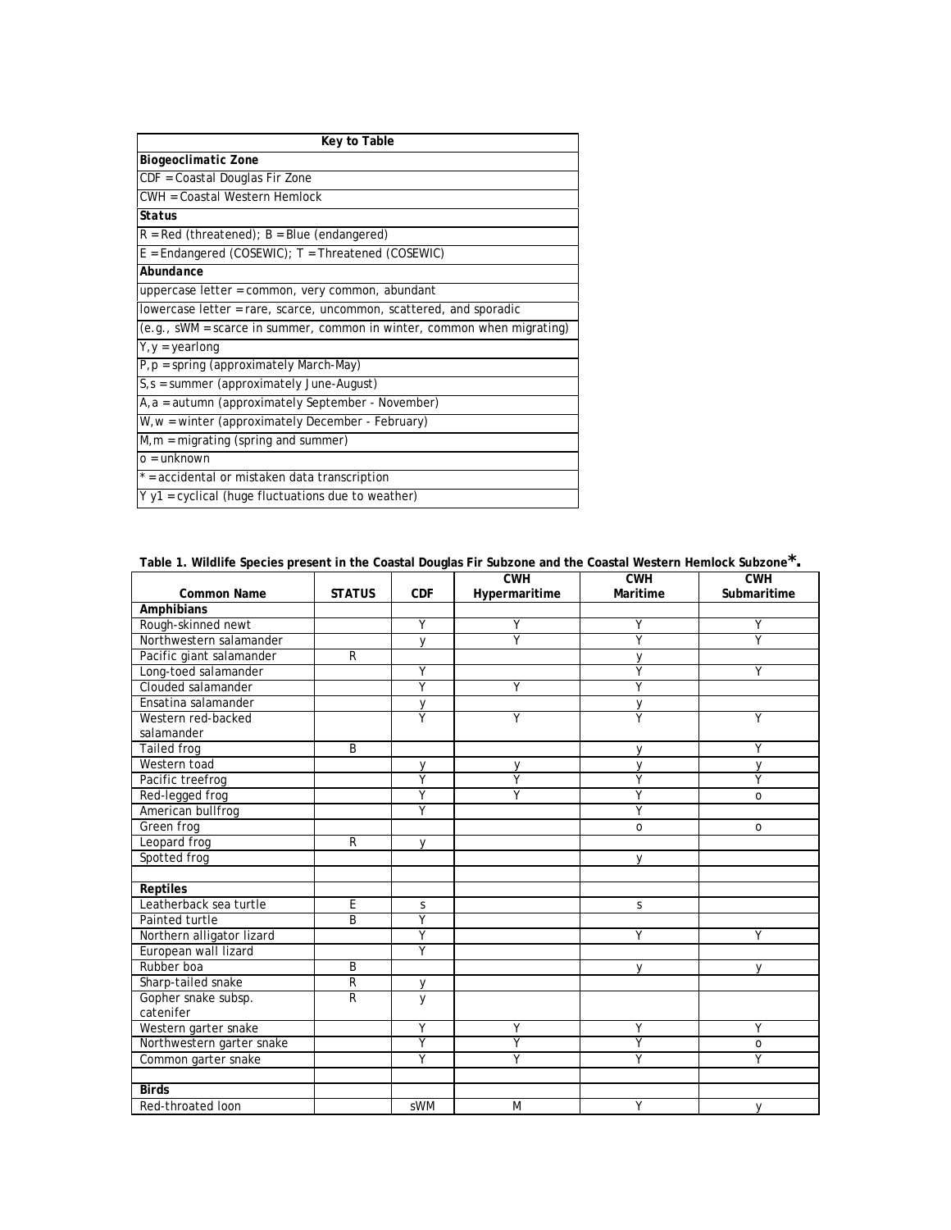| Key to Table                                                              |
|---------------------------------------------------------------------------|
| <b>Biogeoclimatic Zone</b>                                                |
| CDF = Coastal Douglas Fir Zone                                            |
| CWH = Coastal Western Hemlock                                             |
| <b>Status</b>                                                             |
| $R = Red$ (threatened); $B = Blue$ (endangered)                           |
| $E =$ Endangered (COSEWIC); $T =$ Threatened (COSEWIC)                    |
| Abundance                                                                 |
| uppercase letter = common, very common, abundant                          |
| lowercase letter = rare, scarce, uncommon, scattered, and sporadic        |
| $(e.g., sWM = scarce in summer, common in winter, common when migrating)$ |
| $Y, Y = \text{yearlong}$                                                  |
| $P, p =$ spring (approximately March-May)                                 |
| $S_{1}$ = summer (approximately June-August)                              |
| A, a = autumn (approximately September - November)                        |
| W, w = winter (approximately December - February)                         |
| $M,m =$ migrating (spring and summer)                                     |
| $o = unknown$                                                             |
| * = accidental or mistaken data transcription                             |
| $Y$ y1 = cyclical (huge fluctuations due to weather)                      |

**Table 1. Wildlife Species present in the Coastal Douglas Fir Subzone and the Coastal Western Hemlock Subzone\*.**

|                           |               |                         | CWH           | CWH          | CWH            |
|---------------------------|---------------|-------------------------|---------------|--------------|----------------|
| <b>Common Name</b>        | <b>STATUS</b> | <b>CDF</b>              | Hypermaritime | Maritime     | Submaritime    |
| Amphibians                |               |                         |               |              |                |
| Rough-skinned newt        |               | Y                       | Υ             | Υ            | Y              |
| Northwestern salamander   |               | v                       | Υ             | Υ            | $\overline{Y}$ |
| Pacific giant salamander  | R             |                         |               | y            |                |
| Long-toed salamander      |               | Υ                       |               | Ÿ            | Υ              |
| Clouded salamander        |               | Y                       | Υ             | Υ            |                |
| Ensatina salamander       |               | y                       |               | V            |                |
| Western red-backed        |               | Ÿ                       | Υ             | γ            | Υ              |
| salamander                |               |                         |               |              |                |
| Tailed frog               | B             |                         |               | V            | Υ              |
| Western toad              |               | $\vee$                  | V             | V            | $\vee$         |
| Pacific treefrog          |               | $\overline{\mathsf{Y}}$ | Ÿ             | Ÿ            | Ÿ              |
| Red-legged frog           |               | Y                       | γ             | Υ            | $\circ$        |
| American bullfrog         |               | $\overline{Y}$          |               | Υ            |                |
| Green frog                |               |                         |               | $\mathsf{O}$ | $\circ$        |
| Leopard frog              | R             | V                       |               |              |                |
| Spotted frog              |               |                         |               | V            |                |
|                           |               |                         |               |              |                |
| <b>Reptiles</b>           |               |                         |               |              |                |
| Leatherback sea turtle    | E             | S                       |               | S            |                |
| Painted turtle            | B             | Ÿ                       |               |              |                |
| Northern alligator lizard |               | Υ                       |               | Υ            | Υ              |
| European wall lizard      |               | Ÿ                       |               |              |                |
| Rubber boa                | B             |                         |               | $\vee$       | $\mathsf{V}$   |
| Sharp-tailed snake        | R             | $\mathsf{V}$            |               |              |                |
| Gopher snake subsp.       | R             | $\mathsf{V}$            |               |              |                |
| catenifer                 |               |                         |               |              |                |
| Western garter snake      |               | Ÿ                       | Υ             | Υ            | Υ              |
| Northwestern garter snake |               | Ÿ                       | Ÿ             | Ÿ            | $\mathsf O$    |
| Common garter snake       |               | Υ                       | Υ             | γ            | Υ              |
|                           |               |                         |               |              |                |
| <b>Birds</b>              |               |                         |               |              |                |
| Red-throated loon         |               | sWM                     | M             | Υ            | $\vee$         |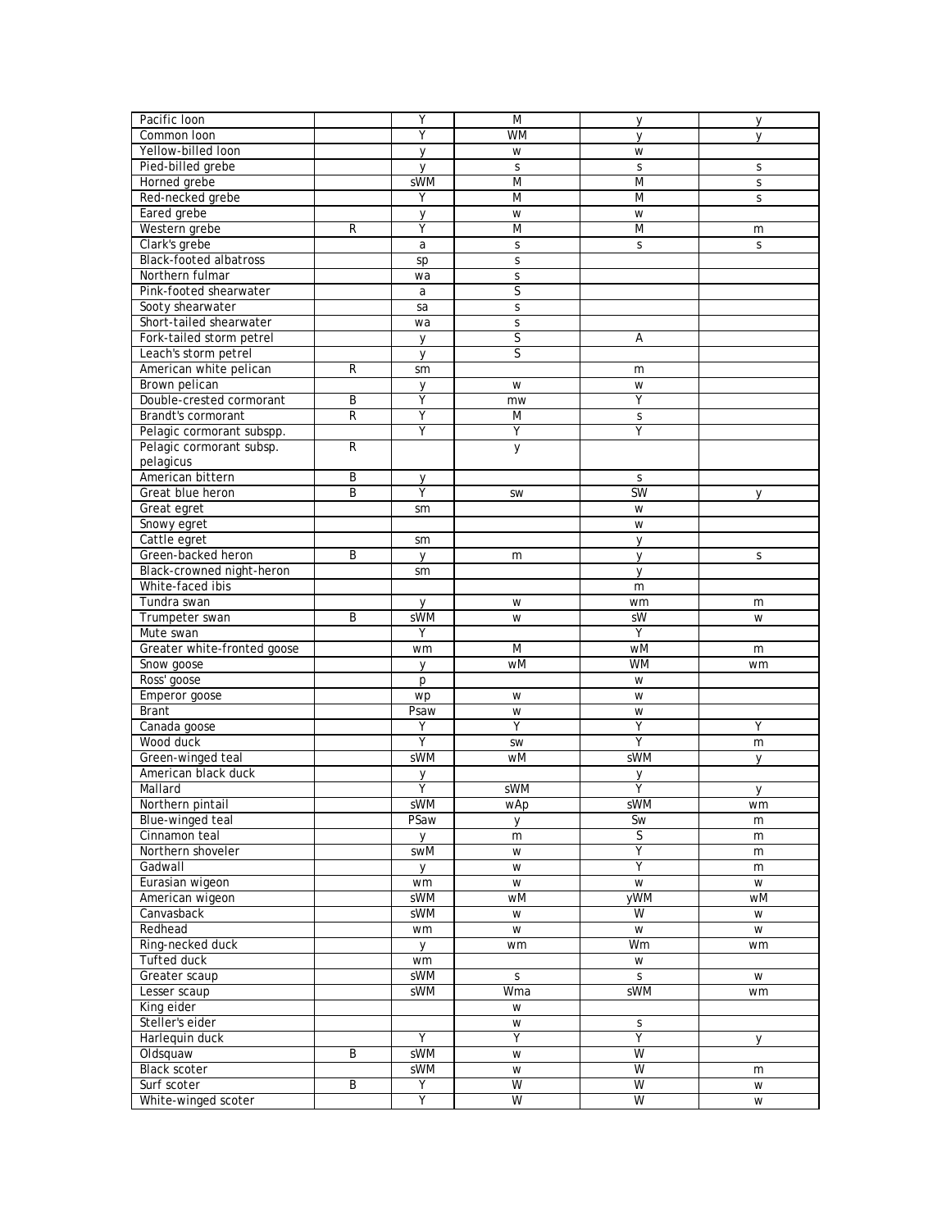| Υ<br><b>WM</b><br>Common loon<br>$\mathsf{V}$<br>V<br>Yellow-billed loon<br>y<br>W<br>W<br>Pied-billed grebe<br>S<br>S<br>S<br>y<br>sWM<br>$\overline{M}$<br>M<br>Horned grebe<br>S<br>Red-necked grebe<br>Y<br>M<br>M<br>S<br>Eared grebe<br>W<br>W<br>y<br>Υ<br>$\overline{M}$<br>Western grebe<br>R<br>M<br>m<br>Clark's grebe<br>S<br>a<br>S<br>S<br><b>Black-footed albatross</b><br>$\mathsf S$<br>sp<br>Northern fulmar<br>S<br>wa<br>S<br>Pink-footed shearwater<br>a<br>Sooty shearwater<br>sa<br>$\mathsf S$<br>Short-tailed shearwater<br>wa<br>S<br>S<br>Fork-tailed storm petrel<br>y<br>Α<br>Leach's storm petrel<br>S<br>y<br>American white pelican<br>R<br>sm<br>m<br>Brown pelican<br>y<br>W<br>W<br>Double-crested cormorant<br>B<br>Υ<br>Υ<br>mw<br>Ÿ<br>$\overline{R}$<br>Brandt's cormorant<br>M<br>$\mathsf S$<br>Υ<br>Υ<br>Υ<br>Pelagic cormorant subspp.<br>Pelagic cormorant subsp.<br>${\sf R}$<br>у<br>pelagicus<br>American bittern<br>B<br>y<br>S<br><b>SW</b><br>Great blue heron<br>B<br>Υ<br>SW<br>y<br>Great egret<br>W<br>sm<br>Snowy egret<br>W<br>Cattle egret<br>sm<br>V<br>Green-backed heron<br>B<br>y<br>$\vee$<br>m<br>S<br>Black-crowned night-heron<br>sm<br>y<br>White-faced ibis<br>m<br>Tundra swan<br>W<br>wm<br>m<br>y<br>B<br>sWM<br>sW<br>Trumpeter swan<br>W<br>W<br>Υ<br>Υ<br>Mute swan<br>Greater white-fronted goose<br>wM<br>M<br>wm<br>m<br>wM<br><b>WM</b><br>Snow goose<br>$\mathsf{V}$<br>wm<br>Ross' goose<br>W<br>p<br>Emperor goose<br>W<br>wp<br>W<br><b>Brant</b><br>Psaw<br>W<br>W<br>Canada goose<br>Υ<br>Υ<br>Υ<br>Υ<br>Ÿ<br>$\overline{Y}$<br>Wood duck<br>m<br>SW<br>sWM<br>sWM<br>Green-winged teal<br>wM<br>V<br>American black duck<br>у<br>у<br>Υ<br>Υ<br>sWM<br>Mallard<br>y<br><b>sWM</b><br>sWM<br>Northern pintail<br>wAp<br>wm<br>Blue-winged teal<br>PSaw<br>Sw<br>y<br>m<br>S.<br>Cinnamon teal<br>m<br><b>V</b><br>m<br>Υ<br>Northern shoveler<br>swM<br>W<br>m<br>Ÿ<br>Gadwall<br>W<br>y<br>m<br>Eurasian wigeon<br>W<br>W<br>W<br>wm<br>yWM<br>sWM<br>wM<br>American wigeon<br>wM<br>W<br>Canvasback<br>sWM<br>W<br>W<br>Redhead<br>W<br>W<br>W<br>wm<br>Ring-necked duck<br>Wm<br>y<br>wm<br>wm<br>Tufted duck<br>wm<br>W<br>sWM<br>Greater scaup<br>$\mathsf{S}$<br>S<br>W<br>sWM<br>Lesser scaup<br>sWM<br>Wma<br>wm<br>King eider<br>W<br>Steller's eider<br>$\mathsf S$<br>W<br>Υ<br>Υ<br>Harlequin duck<br>Υ<br>y<br>Oldsquaw<br>B<br>sWM<br>W<br>W<br>sWM<br>W<br><b>Black scoter</b><br>W<br>m<br>W<br>B<br>Υ<br>W<br>Surf scoter<br>W<br>Y<br>W<br>W<br>W | Pacific Ioon        | Y | M | у | у |
|--------------------------------------------------------------------------------------------------------------------------------------------------------------------------------------------------------------------------------------------------------------------------------------------------------------------------------------------------------------------------------------------------------------------------------------------------------------------------------------------------------------------------------------------------------------------------------------------------------------------------------------------------------------------------------------------------------------------------------------------------------------------------------------------------------------------------------------------------------------------------------------------------------------------------------------------------------------------------------------------------------------------------------------------------------------------------------------------------------------------------------------------------------------------------------------------------------------------------------------------------------------------------------------------------------------------------------------------------------------------------------------------------------------------------------------------------------------------------------------------------------------------------------------------------------------------------------------------------------------------------------------------------------------------------------------------------------------------------------------------------------------------------------------------------------------------------------------------------------------------------------------------------------------------------------------------------------------------------------------------------------------------------------------------------------------------------------------------------------------------------------------------------------------------------------------------------------------------------------------------------------------------------------------------------------------------------------------------------------------------------------------------------------------------------------------------------------------------------------------------------------------------------------------------------------|---------------------|---|---|---|---|
|                                                                                                                                                                                                                                                                                                                                                                                                                                                                                                                                                                                                                                                                                                                                                                                                                                                                                                                                                                                                                                                                                                                                                                                                                                                                                                                                                                                                                                                                                                                                                                                                                                                                                                                                                                                                                                                                                                                                                                                                                                                                                                                                                                                                                                                                                                                                                                                                                                                                                                                                                        |                     |   |   |   |   |
|                                                                                                                                                                                                                                                                                                                                                                                                                                                                                                                                                                                                                                                                                                                                                                                                                                                                                                                                                                                                                                                                                                                                                                                                                                                                                                                                                                                                                                                                                                                                                                                                                                                                                                                                                                                                                                                                                                                                                                                                                                                                                                                                                                                                                                                                                                                                                                                                                                                                                                                                                        |                     |   |   |   |   |
|                                                                                                                                                                                                                                                                                                                                                                                                                                                                                                                                                                                                                                                                                                                                                                                                                                                                                                                                                                                                                                                                                                                                                                                                                                                                                                                                                                                                                                                                                                                                                                                                                                                                                                                                                                                                                                                                                                                                                                                                                                                                                                                                                                                                                                                                                                                                                                                                                                                                                                                                                        |                     |   |   |   |   |
|                                                                                                                                                                                                                                                                                                                                                                                                                                                                                                                                                                                                                                                                                                                                                                                                                                                                                                                                                                                                                                                                                                                                                                                                                                                                                                                                                                                                                                                                                                                                                                                                                                                                                                                                                                                                                                                                                                                                                                                                                                                                                                                                                                                                                                                                                                                                                                                                                                                                                                                                                        |                     |   |   |   |   |
|                                                                                                                                                                                                                                                                                                                                                                                                                                                                                                                                                                                                                                                                                                                                                                                                                                                                                                                                                                                                                                                                                                                                                                                                                                                                                                                                                                                                                                                                                                                                                                                                                                                                                                                                                                                                                                                                                                                                                                                                                                                                                                                                                                                                                                                                                                                                                                                                                                                                                                                                                        |                     |   |   |   |   |
|                                                                                                                                                                                                                                                                                                                                                                                                                                                                                                                                                                                                                                                                                                                                                                                                                                                                                                                                                                                                                                                                                                                                                                                                                                                                                                                                                                                                                                                                                                                                                                                                                                                                                                                                                                                                                                                                                                                                                                                                                                                                                                                                                                                                                                                                                                                                                                                                                                                                                                                                                        |                     |   |   |   |   |
|                                                                                                                                                                                                                                                                                                                                                                                                                                                                                                                                                                                                                                                                                                                                                                                                                                                                                                                                                                                                                                                                                                                                                                                                                                                                                                                                                                                                                                                                                                                                                                                                                                                                                                                                                                                                                                                                                                                                                                                                                                                                                                                                                                                                                                                                                                                                                                                                                                                                                                                                                        |                     |   |   |   |   |
|                                                                                                                                                                                                                                                                                                                                                                                                                                                                                                                                                                                                                                                                                                                                                                                                                                                                                                                                                                                                                                                                                                                                                                                                                                                                                                                                                                                                                                                                                                                                                                                                                                                                                                                                                                                                                                                                                                                                                                                                                                                                                                                                                                                                                                                                                                                                                                                                                                                                                                                                                        |                     |   |   |   |   |
|                                                                                                                                                                                                                                                                                                                                                                                                                                                                                                                                                                                                                                                                                                                                                                                                                                                                                                                                                                                                                                                                                                                                                                                                                                                                                                                                                                                                                                                                                                                                                                                                                                                                                                                                                                                                                                                                                                                                                                                                                                                                                                                                                                                                                                                                                                                                                                                                                                                                                                                                                        |                     |   |   |   |   |
|                                                                                                                                                                                                                                                                                                                                                                                                                                                                                                                                                                                                                                                                                                                                                                                                                                                                                                                                                                                                                                                                                                                                                                                                                                                                                                                                                                                                                                                                                                                                                                                                                                                                                                                                                                                                                                                                                                                                                                                                                                                                                                                                                                                                                                                                                                                                                                                                                                                                                                                                                        |                     |   |   |   |   |
|                                                                                                                                                                                                                                                                                                                                                                                                                                                                                                                                                                                                                                                                                                                                                                                                                                                                                                                                                                                                                                                                                                                                                                                                                                                                                                                                                                                                                                                                                                                                                                                                                                                                                                                                                                                                                                                                                                                                                                                                                                                                                                                                                                                                                                                                                                                                                                                                                                                                                                                                                        |                     |   |   |   |   |
|                                                                                                                                                                                                                                                                                                                                                                                                                                                                                                                                                                                                                                                                                                                                                                                                                                                                                                                                                                                                                                                                                                                                                                                                                                                                                                                                                                                                                                                                                                                                                                                                                                                                                                                                                                                                                                                                                                                                                                                                                                                                                                                                                                                                                                                                                                                                                                                                                                                                                                                                                        |                     |   |   |   |   |
|                                                                                                                                                                                                                                                                                                                                                                                                                                                                                                                                                                                                                                                                                                                                                                                                                                                                                                                                                                                                                                                                                                                                                                                                                                                                                                                                                                                                                                                                                                                                                                                                                                                                                                                                                                                                                                                                                                                                                                                                                                                                                                                                                                                                                                                                                                                                                                                                                                                                                                                                                        |                     |   |   |   |   |
|                                                                                                                                                                                                                                                                                                                                                                                                                                                                                                                                                                                                                                                                                                                                                                                                                                                                                                                                                                                                                                                                                                                                                                                                                                                                                                                                                                                                                                                                                                                                                                                                                                                                                                                                                                                                                                                                                                                                                                                                                                                                                                                                                                                                                                                                                                                                                                                                                                                                                                                                                        |                     |   |   |   |   |
|                                                                                                                                                                                                                                                                                                                                                                                                                                                                                                                                                                                                                                                                                                                                                                                                                                                                                                                                                                                                                                                                                                                                                                                                                                                                                                                                                                                                                                                                                                                                                                                                                                                                                                                                                                                                                                                                                                                                                                                                                                                                                                                                                                                                                                                                                                                                                                                                                                                                                                                                                        |                     |   |   |   |   |
|                                                                                                                                                                                                                                                                                                                                                                                                                                                                                                                                                                                                                                                                                                                                                                                                                                                                                                                                                                                                                                                                                                                                                                                                                                                                                                                                                                                                                                                                                                                                                                                                                                                                                                                                                                                                                                                                                                                                                                                                                                                                                                                                                                                                                                                                                                                                                                                                                                                                                                                                                        |                     |   |   |   |   |
|                                                                                                                                                                                                                                                                                                                                                                                                                                                                                                                                                                                                                                                                                                                                                                                                                                                                                                                                                                                                                                                                                                                                                                                                                                                                                                                                                                                                                                                                                                                                                                                                                                                                                                                                                                                                                                                                                                                                                                                                                                                                                                                                                                                                                                                                                                                                                                                                                                                                                                                                                        |                     |   |   |   |   |
|                                                                                                                                                                                                                                                                                                                                                                                                                                                                                                                                                                                                                                                                                                                                                                                                                                                                                                                                                                                                                                                                                                                                                                                                                                                                                                                                                                                                                                                                                                                                                                                                                                                                                                                                                                                                                                                                                                                                                                                                                                                                                                                                                                                                                                                                                                                                                                                                                                                                                                                                                        |                     |   |   |   |   |
|                                                                                                                                                                                                                                                                                                                                                                                                                                                                                                                                                                                                                                                                                                                                                                                                                                                                                                                                                                                                                                                                                                                                                                                                                                                                                                                                                                                                                                                                                                                                                                                                                                                                                                                                                                                                                                                                                                                                                                                                                                                                                                                                                                                                                                                                                                                                                                                                                                                                                                                                                        |                     |   |   |   |   |
|                                                                                                                                                                                                                                                                                                                                                                                                                                                                                                                                                                                                                                                                                                                                                                                                                                                                                                                                                                                                                                                                                                                                                                                                                                                                                                                                                                                                                                                                                                                                                                                                                                                                                                                                                                                                                                                                                                                                                                                                                                                                                                                                                                                                                                                                                                                                                                                                                                                                                                                                                        |                     |   |   |   |   |
|                                                                                                                                                                                                                                                                                                                                                                                                                                                                                                                                                                                                                                                                                                                                                                                                                                                                                                                                                                                                                                                                                                                                                                                                                                                                                                                                                                                                                                                                                                                                                                                                                                                                                                                                                                                                                                                                                                                                                                                                                                                                                                                                                                                                                                                                                                                                                                                                                                                                                                                                                        |                     |   |   |   |   |
|                                                                                                                                                                                                                                                                                                                                                                                                                                                                                                                                                                                                                                                                                                                                                                                                                                                                                                                                                                                                                                                                                                                                                                                                                                                                                                                                                                                                                                                                                                                                                                                                                                                                                                                                                                                                                                                                                                                                                                                                                                                                                                                                                                                                                                                                                                                                                                                                                                                                                                                                                        |                     |   |   |   |   |
|                                                                                                                                                                                                                                                                                                                                                                                                                                                                                                                                                                                                                                                                                                                                                                                                                                                                                                                                                                                                                                                                                                                                                                                                                                                                                                                                                                                                                                                                                                                                                                                                                                                                                                                                                                                                                                                                                                                                                                                                                                                                                                                                                                                                                                                                                                                                                                                                                                                                                                                                                        |                     |   |   |   |   |
|                                                                                                                                                                                                                                                                                                                                                                                                                                                                                                                                                                                                                                                                                                                                                                                                                                                                                                                                                                                                                                                                                                                                                                                                                                                                                                                                                                                                                                                                                                                                                                                                                                                                                                                                                                                                                                                                                                                                                                                                                                                                                                                                                                                                                                                                                                                                                                                                                                                                                                                                                        |                     |   |   |   |   |
|                                                                                                                                                                                                                                                                                                                                                                                                                                                                                                                                                                                                                                                                                                                                                                                                                                                                                                                                                                                                                                                                                                                                                                                                                                                                                                                                                                                                                                                                                                                                                                                                                                                                                                                                                                                                                                                                                                                                                                                                                                                                                                                                                                                                                                                                                                                                                                                                                                                                                                                                                        |                     |   |   |   |   |
|                                                                                                                                                                                                                                                                                                                                                                                                                                                                                                                                                                                                                                                                                                                                                                                                                                                                                                                                                                                                                                                                                                                                                                                                                                                                                                                                                                                                                                                                                                                                                                                                                                                                                                                                                                                                                                                                                                                                                                                                                                                                                                                                                                                                                                                                                                                                                                                                                                                                                                                                                        |                     |   |   |   |   |
|                                                                                                                                                                                                                                                                                                                                                                                                                                                                                                                                                                                                                                                                                                                                                                                                                                                                                                                                                                                                                                                                                                                                                                                                                                                                                                                                                                                                                                                                                                                                                                                                                                                                                                                                                                                                                                                                                                                                                                                                                                                                                                                                                                                                                                                                                                                                                                                                                                                                                                                                                        |                     |   |   |   |   |
|                                                                                                                                                                                                                                                                                                                                                                                                                                                                                                                                                                                                                                                                                                                                                                                                                                                                                                                                                                                                                                                                                                                                                                                                                                                                                                                                                                                                                                                                                                                                                                                                                                                                                                                                                                                                                                                                                                                                                                                                                                                                                                                                                                                                                                                                                                                                                                                                                                                                                                                                                        |                     |   |   |   |   |
|                                                                                                                                                                                                                                                                                                                                                                                                                                                                                                                                                                                                                                                                                                                                                                                                                                                                                                                                                                                                                                                                                                                                                                                                                                                                                                                                                                                                                                                                                                                                                                                                                                                                                                                                                                                                                                                                                                                                                                                                                                                                                                                                                                                                                                                                                                                                                                                                                                                                                                                                                        |                     |   |   |   |   |
|                                                                                                                                                                                                                                                                                                                                                                                                                                                                                                                                                                                                                                                                                                                                                                                                                                                                                                                                                                                                                                                                                                                                                                                                                                                                                                                                                                                                                                                                                                                                                                                                                                                                                                                                                                                                                                                                                                                                                                                                                                                                                                                                                                                                                                                                                                                                                                                                                                                                                                                                                        |                     |   |   |   |   |
|                                                                                                                                                                                                                                                                                                                                                                                                                                                                                                                                                                                                                                                                                                                                                                                                                                                                                                                                                                                                                                                                                                                                                                                                                                                                                                                                                                                                                                                                                                                                                                                                                                                                                                                                                                                                                                                                                                                                                                                                                                                                                                                                                                                                                                                                                                                                                                                                                                                                                                                                                        |                     |   |   |   |   |
|                                                                                                                                                                                                                                                                                                                                                                                                                                                                                                                                                                                                                                                                                                                                                                                                                                                                                                                                                                                                                                                                                                                                                                                                                                                                                                                                                                                                                                                                                                                                                                                                                                                                                                                                                                                                                                                                                                                                                                                                                                                                                                                                                                                                                                                                                                                                                                                                                                                                                                                                                        |                     |   |   |   |   |
|                                                                                                                                                                                                                                                                                                                                                                                                                                                                                                                                                                                                                                                                                                                                                                                                                                                                                                                                                                                                                                                                                                                                                                                                                                                                                                                                                                                                                                                                                                                                                                                                                                                                                                                                                                                                                                                                                                                                                                                                                                                                                                                                                                                                                                                                                                                                                                                                                                                                                                                                                        |                     |   |   |   |   |
|                                                                                                                                                                                                                                                                                                                                                                                                                                                                                                                                                                                                                                                                                                                                                                                                                                                                                                                                                                                                                                                                                                                                                                                                                                                                                                                                                                                                                                                                                                                                                                                                                                                                                                                                                                                                                                                                                                                                                                                                                                                                                                                                                                                                                                                                                                                                                                                                                                                                                                                                                        |                     |   |   |   |   |
|                                                                                                                                                                                                                                                                                                                                                                                                                                                                                                                                                                                                                                                                                                                                                                                                                                                                                                                                                                                                                                                                                                                                                                                                                                                                                                                                                                                                                                                                                                                                                                                                                                                                                                                                                                                                                                                                                                                                                                                                                                                                                                                                                                                                                                                                                                                                                                                                                                                                                                                                                        |                     |   |   |   |   |
|                                                                                                                                                                                                                                                                                                                                                                                                                                                                                                                                                                                                                                                                                                                                                                                                                                                                                                                                                                                                                                                                                                                                                                                                                                                                                                                                                                                                                                                                                                                                                                                                                                                                                                                                                                                                                                                                                                                                                                                                                                                                                                                                                                                                                                                                                                                                                                                                                                                                                                                                                        |                     |   |   |   |   |
|                                                                                                                                                                                                                                                                                                                                                                                                                                                                                                                                                                                                                                                                                                                                                                                                                                                                                                                                                                                                                                                                                                                                                                                                                                                                                                                                                                                                                                                                                                                                                                                                                                                                                                                                                                                                                                                                                                                                                                                                                                                                                                                                                                                                                                                                                                                                                                                                                                                                                                                                                        |                     |   |   |   |   |
|                                                                                                                                                                                                                                                                                                                                                                                                                                                                                                                                                                                                                                                                                                                                                                                                                                                                                                                                                                                                                                                                                                                                                                                                                                                                                                                                                                                                                                                                                                                                                                                                                                                                                                                                                                                                                                                                                                                                                                                                                                                                                                                                                                                                                                                                                                                                                                                                                                                                                                                                                        |                     |   |   |   |   |
|                                                                                                                                                                                                                                                                                                                                                                                                                                                                                                                                                                                                                                                                                                                                                                                                                                                                                                                                                                                                                                                                                                                                                                                                                                                                                                                                                                                                                                                                                                                                                                                                                                                                                                                                                                                                                                                                                                                                                                                                                                                                                                                                                                                                                                                                                                                                                                                                                                                                                                                                                        |                     |   |   |   |   |
|                                                                                                                                                                                                                                                                                                                                                                                                                                                                                                                                                                                                                                                                                                                                                                                                                                                                                                                                                                                                                                                                                                                                                                                                                                                                                                                                                                                                                                                                                                                                                                                                                                                                                                                                                                                                                                                                                                                                                                                                                                                                                                                                                                                                                                                                                                                                                                                                                                                                                                                                                        |                     |   |   |   |   |
|                                                                                                                                                                                                                                                                                                                                                                                                                                                                                                                                                                                                                                                                                                                                                                                                                                                                                                                                                                                                                                                                                                                                                                                                                                                                                                                                                                                                                                                                                                                                                                                                                                                                                                                                                                                                                                                                                                                                                                                                                                                                                                                                                                                                                                                                                                                                                                                                                                                                                                                                                        |                     |   |   |   |   |
|                                                                                                                                                                                                                                                                                                                                                                                                                                                                                                                                                                                                                                                                                                                                                                                                                                                                                                                                                                                                                                                                                                                                                                                                                                                                                                                                                                                                                                                                                                                                                                                                                                                                                                                                                                                                                                                                                                                                                                                                                                                                                                                                                                                                                                                                                                                                                                                                                                                                                                                                                        |                     |   |   |   |   |
|                                                                                                                                                                                                                                                                                                                                                                                                                                                                                                                                                                                                                                                                                                                                                                                                                                                                                                                                                                                                                                                                                                                                                                                                                                                                                                                                                                                                                                                                                                                                                                                                                                                                                                                                                                                                                                                                                                                                                                                                                                                                                                                                                                                                                                                                                                                                                                                                                                                                                                                                                        |                     |   |   |   |   |
|                                                                                                                                                                                                                                                                                                                                                                                                                                                                                                                                                                                                                                                                                                                                                                                                                                                                                                                                                                                                                                                                                                                                                                                                                                                                                                                                                                                                                                                                                                                                                                                                                                                                                                                                                                                                                                                                                                                                                                                                                                                                                                                                                                                                                                                                                                                                                                                                                                                                                                                                                        |                     |   |   |   |   |
|                                                                                                                                                                                                                                                                                                                                                                                                                                                                                                                                                                                                                                                                                                                                                                                                                                                                                                                                                                                                                                                                                                                                                                                                                                                                                                                                                                                                                                                                                                                                                                                                                                                                                                                                                                                                                                                                                                                                                                                                                                                                                                                                                                                                                                                                                                                                                                                                                                                                                                                                                        |                     |   |   |   |   |
|                                                                                                                                                                                                                                                                                                                                                                                                                                                                                                                                                                                                                                                                                                                                                                                                                                                                                                                                                                                                                                                                                                                                                                                                                                                                                                                                                                                                                                                                                                                                                                                                                                                                                                                                                                                                                                                                                                                                                                                                                                                                                                                                                                                                                                                                                                                                                                                                                                                                                                                                                        |                     |   |   |   |   |
|                                                                                                                                                                                                                                                                                                                                                                                                                                                                                                                                                                                                                                                                                                                                                                                                                                                                                                                                                                                                                                                                                                                                                                                                                                                                                                                                                                                                                                                                                                                                                                                                                                                                                                                                                                                                                                                                                                                                                                                                                                                                                                                                                                                                                                                                                                                                                                                                                                                                                                                                                        |                     |   |   |   |   |
|                                                                                                                                                                                                                                                                                                                                                                                                                                                                                                                                                                                                                                                                                                                                                                                                                                                                                                                                                                                                                                                                                                                                                                                                                                                                                                                                                                                                                                                                                                                                                                                                                                                                                                                                                                                                                                                                                                                                                                                                                                                                                                                                                                                                                                                                                                                                                                                                                                                                                                                                                        |                     |   |   |   |   |
|                                                                                                                                                                                                                                                                                                                                                                                                                                                                                                                                                                                                                                                                                                                                                                                                                                                                                                                                                                                                                                                                                                                                                                                                                                                                                                                                                                                                                                                                                                                                                                                                                                                                                                                                                                                                                                                                                                                                                                                                                                                                                                                                                                                                                                                                                                                                                                                                                                                                                                                                                        |                     |   |   |   |   |
|                                                                                                                                                                                                                                                                                                                                                                                                                                                                                                                                                                                                                                                                                                                                                                                                                                                                                                                                                                                                                                                                                                                                                                                                                                                                                                                                                                                                                                                                                                                                                                                                                                                                                                                                                                                                                                                                                                                                                                                                                                                                                                                                                                                                                                                                                                                                                                                                                                                                                                                                                        |                     |   |   |   |   |
|                                                                                                                                                                                                                                                                                                                                                                                                                                                                                                                                                                                                                                                                                                                                                                                                                                                                                                                                                                                                                                                                                                                                                                                                                                                                                                                                                                                                                                                                                                                                                                                                                                                                                                                                                                                                                                                                                                                                                                                                                                                                                                                                                                                                                                                                                                                                                                                                                                                                                                                                                        |                     |   |   |   |   |
|                                                                                                                                                                                                                                                                                                                                                                                                                                                                                                                                                                                                                                                                                                                                                                                                                                                                                                                                                                                                                                                                                                                                                                                                                                                                                                                                                                                                                                                                                                                                                                                                                                                                                                                                                                                                                                                                                                                                                                                                                                                                                                                                                                                                                                                                                                                                                                                                                                                                                                                                                        |                     |   |   |   |   |
|                                                                                                                                                                                                                                                                                                                                                                                                                                                                                                                                                                                                                                                                                                                                                                                                                                                                                                                                                                                                                                                                                                                                                                                                                                                                                                                                                                                                                                                                                                                                                                                                                                                                                                                                                                                                                                                                                                                                                                                                                                                                                                                                                                                                                                                                                                                                                                                                                                                                                                                                                        |                     |   |   |   |   |
|                                                                                                                                                                                                                                                                                                                                                                                                                                                                                                                                                                                                                                                                                                                                                                                                                                                                                                                                                                                                                                                                                                                                                                                                                                                                                                                                                                                                                                                                                                                                                                                                                                                                                                                                                                                                                                                                                                                                                                                                                                                                                                                                                                                                                                                                                                                                                                                                                                                                                                                                                        |                     |   |   |   |   |
|                                                                                                                                                                                                                                                                                                                                                                                                                                                                                                                                                                                                                                                                                                                                                                                                                                                                                                                                                                                                                                                                                                                                                                                                                                                                                                                                                                                                                                                                                                                                                                                                                                                                                                                                                                                                                                                                                                                                                                                                                                                                                                                                                                                                                                                                                                                                                                                                                                                                                                                                                        |                     |   |   |   |   |
|                                                                                                                                                                                                                                                                                                                                                                                                                                                                                                                                                                                                                                                                                                                                                                                                                                                                                                                                                                                                                                                                                                                                                                                                                                                                                                                                                                                                                                                                                                                                                                                                                                                                                                                                                                                                                                                                                                                                                                                                                                                                                                                                                                                                                                                                                                                                                                                                                                                                                                                                                        |                     |   |   |   |   |
|                                                                                                                                                                                                                                                                                                                                                                                                                                                                                                                                                                                                                                                                                                                                                                                                                                                                                                                                                                                                                                                                                                                                                                                                                                                                                                                                                                                                                                                                                                                                                                                                                                                                                                                                                                                                                                                                                                                                                                                                                                                                                                                                                                                                                                                                                                                                                                                                                                                                                                                                                        |                     |   |   |   |   |
|                                                                                                                                                                                                                                                                                                                                                                                                                                                                                                                                                                                                                                                                                                                                                                                                                                                                                                                                                                                                                                                                                                                                                                                                                                                                                                                                                                                                                                                                                                                                                                                                                                                                                                                                                                                                                                                                                                                                                                                                                                                                                                                                                                                                                                                                                                                                                                                                                                                                                                                                                        |                     |   |   |   |   |
|                                                                                                                                                                                                                                                                                                                                                                                                                                                                                                                                                                                                                                                                                                                                                                                                                                                                                                                                                                                                                                                                                                                                                                                                                                                                                                                                                                                                                                                                                                                                                                                                                                                                                                                                                                                                                                                                                                                                                                                                                                                                                                                                                                                                                                                                                                                                                                                                                                                                                                                                                        |                     |   |   |   |   |
|                                                                                                                                                                                                                                                                                                                                                                                                                                                                                                                                                                                                                                                                                                                                                                                                                                                                                                                                                                                                                                                                                                                                                                                                                                                                                                                                                                                                                                                                                                                                                                                                                                                                                                                                                                                                                                                                                                                                                                                                                                                                                                                                                                                                                                                                                                                                                                                                                                                                                                                                                        |                     |   |   |   |   |
|                                                                                                                                                                                                                                                                                                                                                                                                                                                                                                                                                                                                                                                                                                                                                                                                                                                                                                                                                                                                                                                                                                                                                                                                                                                                                                                                                                                                                                                                                                                                                                                                                                                                                                                                                                                                                                                                                                                                                                                                                                                                                                                                                                                                                                                                                                                                                                                                                                                                                                                                                        |                     |   |   |   |   |
|                                                                                                                                                                                                                                                                                                                                                                                                                                                                                                                                                                                                                                                                                                                                                                                                                                                                                                                                                                                                                                                                                                                                                                                                                                                                                                                                                                                                                                                                                                                                                                                                                                                                                                                                                                                                                                                                                                                                                                                                                                                                                                                                                                                                                                                                                                                                                                                                                                                                                                                                                        |                     |   |   |   |   |
|                                                                                                                                                                                                                                                                                                                                                                                                                                                                                                                                                                                                                                                                                                                                                                                                                                                                                                                                                                                                                                                                                                                                                                                                                                                                                                                                                                                                                                                                                                                                                                                                                                                                                                                                                                                                                                                                                                                                                                                                                                                                                                                                                                                                                                                                                                                                                                                                                                                                                                                                                        |                     |   |   |   |   |
|                                                                                                                                                                                                                                                                                                                                                                                                                                                                                                                                                                                                                                                                                                                                                                                                                                                                                                                                                                                                                                                                                                                                                                                                                                                                                                                                                                                                                                                                                                                                                                                                                                                                                                                                                                                                                                                                                                                                                                                                                                                                                                                                                                                                                                                                                                                                                                                                                                                                                                                                                        | White-winged scoter |   |   |   |   |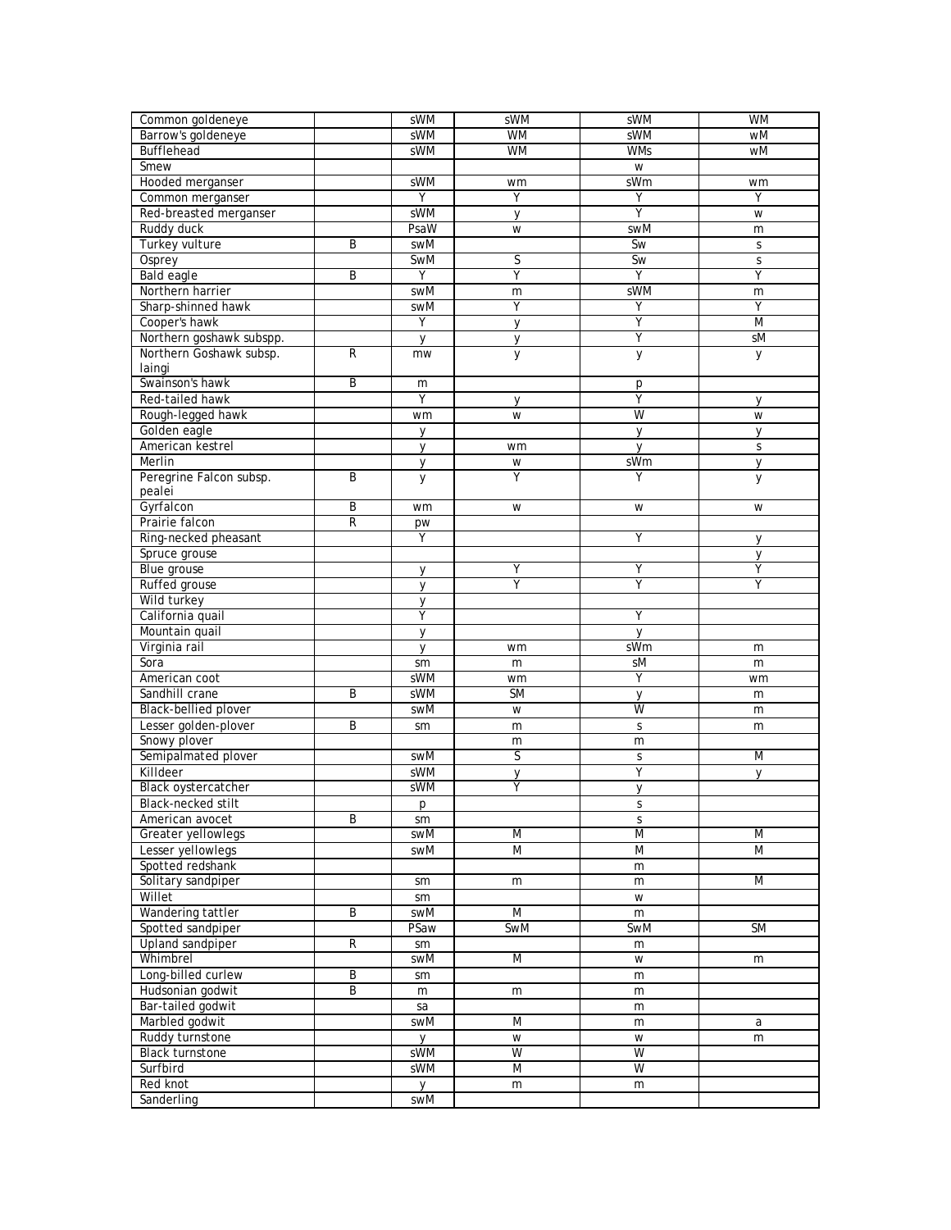| Common goldeneye           |                | sWM          | sWM          | sWM          | <b>WM</b>      |
|----------------------------|----------------|--------------|--------------|--------------|----------------|
| Barrow's goldeneye         |                | sWM          | <b>WM</b>    | sWM          | wM             |
| Bufflehead                 |                | sWM          | <b>WM</b>    | <b>WMs</b>   | wM             |
| Smew                       |                |              |              | W            |                |
| Hooded merganser           |                | sWM          | wm           | sWm          | wm             |
| Common merganser           |                | Υ            | Υ            | Υ            | Υ              |
| Red-breasted merganser     |                | sWM          | y            | Ÿ            | W              |
| Ruddy duck                 |                | PsaW         | W            | swM          | m              |
| Turkey vulture             | Β              | swM          |              | Sw           | $\mathsf S$    |
| Osprey                     |                | SwM          | S            | Sw           | $\mathsf S$    |
| Bald eagle                 | B              | Υ            | Ÿ            | Ÿ            | Ÿ              |
| Northern harrier           |                | swM          | m            | sWM          | m              |
| Sharp-shinned hawk         |                | swM          | Y            | Υ            | Y              |
| Cooper's hawk              |                | Y            | $\mathsf{V}$ | Ϋ            | $\overline{M}$ |
| Northern goshawk subspp.   |                | y            | y            | Υ            | sM             |
| Northern Goshawk subsp.    | R              | mw           | y            | ÿ            | y              |
| laingi                     |                |              |              |              |                |
| Swainson's hawk            | B              | m            |              | p            |                |
| Red-tailed hawk            |                | Υ            | y            | Ÿ            | y              |
| Rough-legged hawk          |                | wm           | W            | W            | W              |
| Golden eagle               |                | у            |              | У            | у              |
| American kestrel           |                | y            | wm           | V            | S              |
| Merlin                     |                | y            | W            | sWm          | у              |
| Peregrine Falcon subsp.    | B              | y            | Υ            | Υ            | у              |
| pealei                     |                |              |              |              |                |
| Gyrfalcon                  | B              | wm           | W            | W            | W              |
| Prairie falcon             | $\overline{R}$ | pw           |              |              |                |
| Ring-necked pheasant       |                | Υ            |              | Υ            | y              |
| Spruce grouse              |                |              |              |              | y              |
| Blue grouse                |                | y            | Υ            | Υ            | Υ              |
| Ruffed grouse              |                | y            | Y            | Υ            | Υ              |
| Wild turkey                |                | y            |              |              |                |
| California quail           |                | Υ            |              | Υ            |                |
| Mountain quail             |                | $\mathsf{V}$ |              | $\mathsf{V}$ |                |
| Virginia rail              |                | $\mathsf{V}$ | wm           | sWm          | m              |
| Sora                       |                | sm           | m            | sM           | m              |
| American coot              |                | sWM          | wm           | Υ            | wm             |
| Sandhill crane             | Β              | sWM          | <b>SM</b>    | y            | m              |
| Black-bellied plover       |                | swM          | W            | W            | m              |
| Lesser golden-plover       | B              | sm           | m            | S            | m              |
| Snowy plover               |                |              | m            | m            |                |
| Semipalmated plover        |                | swM          | S            | S            | M              |
| Killdeer                   |                | sWM          | $\mathsf{y}$ | Ÿ            | y              |
| <b>Black oystercatcher</b> |                | sWM          | Ÿ            | y            |                |
| Black-necked stilt         |                | р            |              | S            |                |
| American avocet            | B              | sm           |              | S            |                |
| Greater yellowlegs         |                | swM          | M            | M            | M              |
| Lesser yellowlegs          |                | swM          | M            | M            | $\overline{M}$ |
| Spotted redshank           |                |              |              | m            |                |
| Solitary sandpiper         |                | sm           | m            | m            | M              |
| Willet                     |                | sm           |              | W            |                |
| Wandering tattler          | B              | swM          | M            | m            |                |
| Spotted sandpiper          |                | PSaw         | SwM          | SwM          | <b>SM</b>      |
| Upland sandpiper           | R              | sm           |              | m            |                |
| Whimbrel                   |                | swM          | M            | W            | m              |
| Long-billed curlew         | B              | sm           |              | m            |                |
| Hudsonian godwit           | B              | m            | m            | m            |                |
| Bar-tailed godwit          |                | sa           |              | m            |                |
| Marbled godwit             |                | swM          | M            | m            | a              |
| Ruddy turnstone            |                | y            | W            | W            | m              |
| <b>Black turnstone</b>     |                | sWM          | W            | W            |                |
| Surfbird                   |                | sWM          | M            | W            |                |
| Red knot                   |                | y            | m            | m            |                |
| Sanderling                 |                | swM          |              |              |                |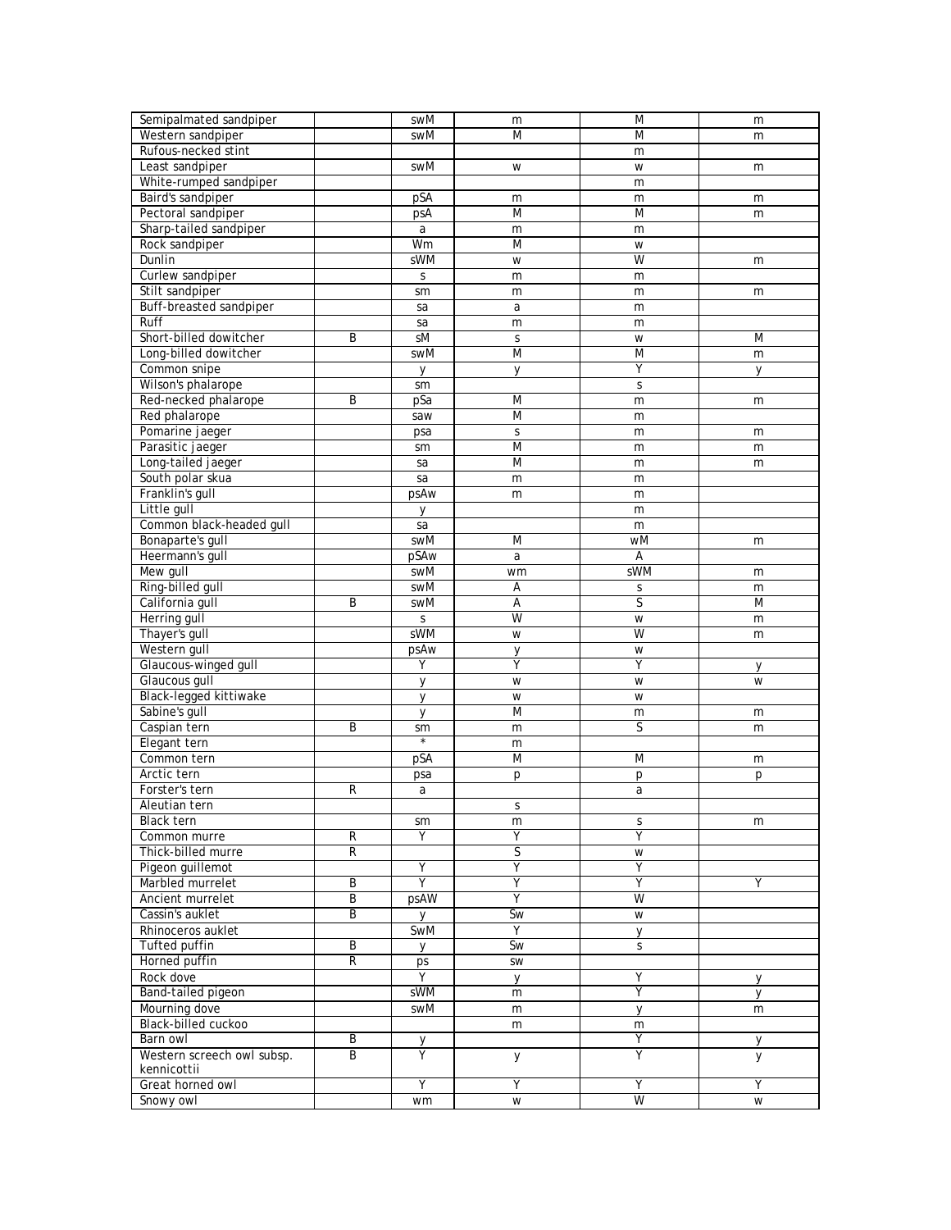| M<br>Western sandpiper<br>M<br>swM<br>m<br>Rufous-necked stint<br>m<br>Least sandpiper<br>swM<br>W<br>W<br>m<br>White-rumped sandpiper<br>m<br>Baird's sandpiper<br>pSA<br>m<br>m<br>m<br>Pectoral sandpiper<br>M<br>M<br>psA<br>m<br>Sharp-tailed sandpiper<br>a<br>m<br>m<br>Rock sandpiper<br>Wm<br>M<br>W<br>sWM<br>W<br>Dunlin<br>W<br>m<br>Curlew sandpiper<br>S<br>m<br>m<br>Stilt sandpiper<br>m<br>m<br>sm<br>m<br>Buff-breasted sandpiper<br>sa<br>a<br>m<br>Ruff<br>sa<br>m<br>m<br>Short-billed dowitcher<br>B<br>sM<br>M<br>S<br>W<br>Long-billed dowitcher<br>$\overline{M}$<br>swM<br>M<br>m<br>Common snipe<br>Υ<br>y<br>y<br>y<br>Wilson's phalarope<br>S<br>sm<br>Red-necked phalarope<br>B<br>pSa<br>M<br>m<br>m<br>Red phalarope<br>M<br>saw<br>m<br>Pomarine jaeger<br>S<br>m<br>psa<br>m<br>Parasitic jaeger<br>M<br>sm<br>m<br>m<br>M<br>Long-tailed jaeger<br>sa<br>m<br>m<br>South polar skua<br>sa<br>m<br>m<br>Franklin's gull<br>psAw<br>m<br>m<br>Little gull<br>m<br>$\vee$<br>Common black-headed gull<br>sa<br>m<br>Bonaparte's gull<br>swM<br>M<br>wM<br>m<br>Heermann's gull<br>pSAw<br>Α<br>a<br>Mew gull<br>sWM<br>swM<br>wm<br>m<br>Ring-billed gull<br>swM<br>Α<br>S<br>m<br>$\overline{\mathsf{S}}$<br>California gull<br>B<br>swM<br>A<br>M<br>W<br>Herring gull<br>W<br>S<br>m<br>W<br>Thayer's gull<br>sWM<br>W<br>m<br>Western gull<br>psAw<br>W<br>y<br>Glaucous-winged gull<br>Y<br>Υ<br>Υ<br>y<br>Glaucous gull<br>$\vee$<br>W<br>W<br>W<br>Black-legged kittiwake<br>W<br>W<br>$\mathsf{V}$<br>Sabine's gull<br>M<br>$\mathsf{V}$<br>m<br>m<br>Caspian tern<br>S<br>B<br>sm<br>m<br>m<br>$\star$<br>Elegant tern<br>m<br>Common tern<br>M<br>pSA<br>M<br>m<br>Arctic tern<br>psa<br>p<br>p<br>р<br>R<br>Forster's tern<br>a<br>a<br>Aleutian tern<br>S<br>Black tern<br>sm<br>S<br>m<br>m<br>Ÿ<br>Υ<br>R<br>Υ<br>Common murre<br>S<br>Thick-billed murre<br>$\mathsf R$<br>W<br>Υ<br>Υ<br>Pigeon guillemot<br>Y<br>$\overline{Y}$<br>$\overline{Y}$<br>Y<br>Marbled murrelet<br>B<br>Υ<br>Y<br>psAW<br>W<br>Ancient murrelet<br>$\overline{B}$<br>Cassin's auklet<br>B<br>Sw<br>W<br>У<br>Y<br>Rhinoceros auklet<br>SwM<br>y<br><b>Tufted puffin</b><br>$\overline{B}$<br>Sw<br>$\mathsf{S}$<br><b>V</b><br>Horned puffin<br>R<br>ps<br>SW<br>Y<br>Υ<br>Rock dove<br>y<br>у<br>Ÿ<br>Band-tailed pigeon<br>sWM<br>$\mathsf{V}$<br>m<br>Mourning dove<br>swM<br>m<br>y<br>m<br>Black-billed cuckoo<br>m<br>m<br>Ϋ<br>B<br>Barn owl<br>y<br>y<br>Western screech owl subsp.<br>B<br>Υ<br>Y<br>y<br>y<br>kennicottii<br>Ÿ<br>Great horned owl<br>Υ<br>Υ<br>Y<br>Snowy owl<br>W<br>W<br>wm<br>W | Semipalmated sandpiper | swM | m | M | m |
|-------------------------------------------------------------------------------------------------------------------------------------------------------------------------------------------------------------------------------------------------------------------------------------------------------------------------------------------------------------------------------------------------------------------------------------------------------------------------------------------------------------------------------------------------------------------------------------------------------------------------------------------------------------------------------------------------------------------------------------------------------------------------------------------------------------------------------------------------------------------------------------------------------------------------------------------------------------------------------------------------------------------------------------------------------------------------------------------------------------------------------------------------------------------------------------------------------------------------------------------------------------------------------------------------------------------------------------------------------------------------------------------------------------------------------------------------------------------------------------------------------------------------------------------------------------------------------------------------------------------------------------------------------------------------------------------------------------------------------------------------------------------------------------------------------------------------------------------------------------------------------------------------------------------------------------------------------------------------------------------------------------------------------------------------------------------------------------------------------------------------------------------------------------------------------------------------------------------------------------------------------------------------------------------------------------------------------------------------------------------------------------------------------------------------------------------------------------------------------------------------------------------------------------------------------------------------------------------------------------------------------------------|------------------------|-----|---|---|---|
|                                                                                                                                                                                                                                                                                                                                                                                                                                                                                                                                                                                                                                                                                                                                                                                                                                                                                                                                                                                                                                                                                                                                                                                                                                                                                                                                                                                                                                                                                                                                                                                                                                                                                                                                                                                                                                                                                                                                                                                                                                                                                                                                                                                                                                                                                                                                                                                                                                                                                                                                                                                                                                           |                        |     |   |   |   |
|                                                                                                                                                                                                                                                                                                                                                                                                                                                                                                                                                                                                                                                                                                                                                                                                                                                                                                                                                                                                                                                                                                                                                                                                                                                                                                                                                                                                                                                                                                                                                                                                                                                                                                                                                                                                                                                                                                                                                                                                                                                                                                                                                                                                                                                                                                                                                                                                                                                                                                                                                                                                                                           |                        |     |   |   |   |
|                                                                                                                                                                                                                                                                                                                                                                                                                                                                                                                                                                                                                                                                                                                                                                                                                                                                                                                                                                                                                                                                                                                                                                                                                                                                                                                                                                                                                                                                                                                                                                                                                                                                                                                                                                                                                                                                                                                                                                                                                                                                                                                                                                                                                                                                                                                                                                                                                                                                                                                                                                                                                                           |                        |     |   |   |   |
|                                                                                                                                                                                                                                                                                                                                                                                                                                                                                                                                                                                                                                                                                                                                                                                                                                                                                                                                                                                                                                                                                                                                                                                                                                                                                                                                                                                                                                                                                                                                                                                                                                                                                                                                                                                                                                                                                                                                                                                                                                                                                                                                                                                                                                                                                                                                                                                                                                                                                                                                                                                                                                           |                        |     |   |   |   |
|                                                                                                                                                                                                                                                                                                                                                                                                                                                                                                                                                                                                                                                                                                                                                                                                                                                                                                                                                                                                                                                                                                                                                                                                                                                                                                                                                                                                                                                                                                                                                                                                                                                                                                                                                                                                                                                                                                                                                                                                                                                                                                                                                                                                                                                                                                                                                                                                                                                                                                                                                                                                                                           |                        |     |   |   |   |
|                                                                                                                                                                                                                                                                                                                                                                                                                                                                                                                                                                                                                                                                                                                                                                                                                                                                                                                                                                                                                                                                                                                                                                                                                                                                                                                                                                                                                                                                                                                                                                                                                                                                                                                                                                                                                                                                                                                                                                                                                                                                                                                                                                                                                                                                                                                                                                                                                                                                                                                                                                                                                                           |                        |     |   |   |   |
|                                                                                                                                                                                                                                                                                                                                                                                                                                                                                                                                                                                                                                                                                                                                                                                                                                                                                                                                                                                                                                                                                                                                                                                                                                                                                                                                                                                                                                                                                                                                                                                                                                                                                                                                                                                                                                                                                                                                                                                                                                                                                                                                                                                                                                                                                                                                                                                                                                                                                                                                                                                                                                           |                        |     |   |   |   |
|                                                                                                                                                                                                                                                                                                                                                                                                                                                                                                                                                                                                                                                                                                                                                                                                                                                                                                                                                                                                                                                                                                                                                                                                                                                                                                                                                                                                                                                                                                                                                                                                                                                                                                                                                                                                                                                                                                                                                                                                                                                                                                                                                                                                                                                                                                                                                                                                                                                                                                                                                                                                                                           |                        |     |   |   |   |
|                                                                                                                                                                                                                                                                                                                                                                                                                                                                                                                                                                                                                                                                                                                                                                                                                                                                                                                                                                                                                                                                                                                                                                                                                                                                                                                                                                                                                                                                                                                                                                                                                                                                                                                                                                                                                                                                                                                                                                                                                                                                                                                                                                                                                                                                                                                                                                                                                                                                                                                                                                                                                                           |                        |     |   |   |   |
|                                                                                                                                                                                                                                                                                                                                                                                                                                                                                                                                                                                                                                                                                                                                                                                                                                                                                                                                                                                                                                                                                                                                                                                                                                                                                                                                                                                                                                                                                                                                                                                                                                                                                                                                                                                                                                                                                                                                                                                                                                                                                                                                                                                                                                                                                                                                                                                                                                                                                                                                                                                                                                           |                        |     |   |   |   |
|                                                                                                                                                                                                                                                                                                                                                                                                                                                                                                                                                                                                                                                                                                                                                                                                                                                                                                                                                                                                                                                                                                                                                                                                                                                                                                                                                                                                                                                                                                                                                                                                                                                                                                                                                                                                                                                                                                                                                                                                                                                                                                                                                                                                                                                                                                                                                                                                                                                                                                                                                                                                                                           |                        |     |   |   |   |
|                                                                                                                                                                                                                                                                                                                                                                                                                                                                                                                                                                                                                                                                                                                                                                                                                                                                                                                                                                                                                                                                                                                                                                                                                                                                                                                                                                                                                                                                                                                                                                                                                                                                                                                                                                                                                                                                                                                                                                                                                                                                                                                                                                                                                                                                                                                                                                                                                                                                                                                                                                                                                                           |                        |     |   |   |   |
|                                                                                                                                                                                                                                                                                                                                                                                                                                                                                                                                                                                                                                                                                                                                                                                                                                                                                                                                                                                                                                                                                                                                                                                                                                                                                                                                                                                                                                                                                                                                                                                                                                                                                                                                                                                                                                                                                                                                                                                                                                                                                                                                                                                                                                                                                                                                                                                                                                                                                                                                                                                                                                           |                        |     |   |   |   |
|                                                                                                                                                                                                                                                                                                                                                                                                                                                                                                                                                                                                                                                                                                                                                                                                                                                                                                                                                                                                                                                                                                                                                                                                                                                                                                                                                                                                                                                                                                                                                                                                                                                                                                                                                                                                                                                                                                                                                                                                                                                                                                                                                                                                                                                                                                                                                                                                                                                                                                                                                                                                                                           |                        |     |   |   |   |
|                                                                                                                                                                                                                                                                                                                                                                                                                                                                                                                                                                                                                                                                                                                                                                                                                                                                                                                                                                                                                                                                                                                                                                                                                                                                                                                                                                                                                                                                                                                                                                                                                                                                                                                                                                                                                                                                                                                                                                                                                                                                                                                                                                                                                                                                                                                                                                                                                                                                                                                                                                                                                                           |                        |     |   |   |   |
|                                                                                                                                                                                                                                                                                                                                                                                                                                                                                                                                                                                                                                                                                                                                                                                                                                                                                                                                                                                                                                                                                                                                                                                                                                                                                                                                                                                                                                                                                                                                                                                                                                                                                                                                                                                                                                                                                                                                                                                                                                                                                                                                                                                                                                                                                                                                                                                                                                                                                                                                                                                                                                           |                        |     |   |   |   |
|                                                                                                                                                                                                                                                                                                                                                                                                                                                                                                                                                                                                                                                                                                                                                                                                                                                                                                                                                                                                                                                                                                                                                                                                                                                                                                                                                                                                                                                                                                                                                                                                                                                                                                                                                                                                                                                                                                                                                                                                                                                                                                                                                                                                                                                                                                                                                                                                                                                                                                                                                                                                                                           |                        |     |   |   |   |
|                                                                                                                                                                                                                                                                                                                                                                                                                                                                                                                                                                                                                                                                                                                                                                                                                                                                                                                                                                                                                                                                                                                                                                                                                                                                                                                                                                                                                                                                                                                                                                                                                                                                                                                                                                                                                                                                                                                                                                                                                                                                                                                                                                                                                                                                                                                                                                                                                                                                                                                                                                                                                                           |                        |     |   |   |   |
|                                                                                                                                                                                                                                                                                                                                                                                                                                                                                                                                                                                                                                                                                                                                                                                                                                                                                                                                                                                                                                                                                                                                                                                                                                                                                                                                                                                                                                                                                                                                                                                                                                                                                                                                                                                                                                                                                                                                                                                                                                                                                                                                                                                                                                                                                                                                                                                                                                                                                                                                                                                                                                           |                        |     |   |   |   |
|                                                                                                                                                                                                                                                                                                                                                                                                                                                                                                                                                                                                                                                                                                                                                                                                                                                                                                                                                                                                                                                                                                                                                                                                                                                                                                                                                                                                                                                                                                                                                                                                                                                                                                                                                                                                                                                                                                                                                                                                                                                                                                                                                                                                                                                                                                                                                                                                                                                                                                                                                                                                                                           |                        |     |   |   |   |
|                                                                                                                                                                                                                                                                                                                                                                                                                                                                                                                                                                                                                                                                                                                                                                                                                                                                                                                                                                                                                                                                                                                                                                                                                                                                                                                                                                                                                                                                                                                                                                                                                                                                                                                                                                                                                                                                                                                                                                                                                                                                                                                                                                                                                                                                                                                                                                                                                                                                                                                                                                                                                                           |                        |     |   |   |   |
|                                                                                                                                                                                                                                                                                                                                                                                                                                                                                                                                                                                                                                                                                                                                                                                                                                                                                                                                                                                                                                                                                                                                                                                                                                                                                                                                                                                                                                                                                                                                                                                                                                                                                                                                                                                                                                                                                                                                                                                                                                                                                                                                                                                                                                                                                                                                                                                                                                                                                                                                                                                                                                           |                        |     |   |   |   |
|                                                                                                                                                                                                                                                                                                                                                                                                                                                                                                                                                                                                                                                                                                                                                                                                                                                                                                                                                                                                                                                                                                                                                                                                                                                                                                                                                                                                                                                                                                                                                                                                                                                                                                                                                                                                                                                                                                                                                                                                                                                                                                                                                                                                                                                                                                                                                                                                                                                                                                                                                                                                                                           |                        |     |   |   |   |
|                                                                                                                                                                                                                                                                                                                                                                                                                                                                                                                                                                                                                                                                                                                                                                                                                                                                                                                                                                                                                                                                                                                                                                                                                                                                                                                                                                                                                                                                                                                                                                                                                                                                                                                                                                                                                                                                                                                                                                                                                                                                                                                                                                                                                                                                                                                                                                                                                                                                                                                                                                                                                                           |                        |     |   |   |   |
|                                                                                                                                                                                                                                                                                                                                                                                                                                                                                                                                                                                                                                                                                                                                                                                                                                                                                                                                                                                                                                                                                                                                                                                                                                                                                                                                                                                                                                                                                                                                                                                                                                                                                                                                                                                                                                                                                                                                                                                                                                                                                                                                                                                                                                                                                                                                                                                                                                                                                                                                                                                                                                           |                        |     |   |   |   |
|                                                                                                                                                                                                                                                                                                                                                                                                                                                                                                                                                                                                                                                                                                                                                                                                                                                                                                                                                                                                                                                                                                                                                                                                                                                                                                                                                                                                                                                                                                                                                                                                                                                                                                                                                                                                                                                                                                                                                                                                                                                                                                                                                                                                                                                                                                                                                                                                                                                                                                                                                                                                                                           |                        |     |   |   |   |
|                                                                                                                                                                                                                                                                                                                                                                                                                                                                                                                                                                                                                                                                                                                                                                                                                                                                                                                                                                                                                                                                                                                                                                                                                                                                                                                                                                                                                                                                                                                                                                                                                                                                                                                                                                                                                                                                                                                                                                                                                                                                                                                                                                                                                                                                                                                                                                                                                                                                                                                                                                                                                                           |                        |     |   |   |   |
|                                                                                                                                                                                                                                                                                                                                                                                                                                                                                                                                                                                                                                                                                                                                                                                                                                                                                                                                                                                                                                                                                                                                                                                                                                                                                                                                                                                                                                                                                                                                                                                                                                                                                                                                                                                                                                                                                                                                                                                                                                                                                                                                                                                                                                                                                                                                                                                                                                                                                                                                                                                                                                           |                        |     |   |   |   |
|                                                                                                                                                                                                                                                                                                                                                                                                                                                                                                                                                                                                                                                                                                                                                                                                                                                                                                                                                                                                                                                                                                                                                                                                                                                                                                                                                                                                                                                                                                                                                                                                                                                                                                                                                                                                                                                                                                                                                                                                                                                                                                                                                                                                                                                                                                                                                                                                                                                                                                                                                                                                                                           |                        |     |   |   |   |
|                                                                                                                                                                                                                                                                                                                                                                                                                                                                                                                                                                                                                                                                                                                                                                                                                                                                                                                                                                                                                                                                                                                                                                                                                                                                                                                                                                                                                                                                                                                                                                                                                                                                                                                                                                                                                                                                                                                                                                                                                                                                                                                                                                                                                                                                                                                                                                                                                                                                                                                                                                                                                                           |                        |     |   |   |   |
|                                                                                                                                                                                                                                                                                                                                                                                                                                                                                                                                                                                                                                                                                                                                                                                                                                                                                                                                                                                                                                                                                                                                                                                                                                                                                                                                                                                                                                                                                                                                                                                                                                                                                                                                                                                                                                                                                                                                                                                                                                                                                                                                                                                                                                                                                                                                                                                                                                                                                                                                                                                                                                           |                        |     |   |   |   |
|                                                                                                                                                                                                                                                                                                                                                                                                                                                                                                                                                                                                                                                                                                                                                                                                                                                                                                                                                                                                                                                                                                                                                                                                                                                                                                                                                                                                                                                                                                                                                                                                                                                                                                                                                                                                                                                                                                                                                                                                                                                                                                                                                                                                                                                                                                                                                                                                                                                                                                                                                                                                                                           |                        |     |   |   |   |
|                                                                                                                                                                                                                                                                                                                                                                                                                                                                                                                                                                                                                                                                                                                                                                                                                                                                                                                                                                                                                                                                                                                                                                                                                                                                                                                                                                                                                                                                                                                                                                                                                                                                                                                                                                                                                                                                                                                                                                                                                                                                                                                                                                                                                                                                                                                                                                                                                                                                                                                                                                                                                                           |                        |     |   |   |   |
|                                                                                                                                                                                                                                                                                                                                                                                                                                                                                                                                                                                                                                                                                                                                                                                                                                                                                                                                                                                                                                                                                                                                                                                                                                                                                                                                                                                                                                                                                                                                                                                                                                                                                                                                                                                                                                                                                                                                                                                                                                                                                                                                                                                                                                                                                                                                                                                                                                                                                                                                                                                                                                           |                        |     |   |   |   |
|                                                                                                                                                                                                                                                                                                                                                                                                                                                                                                                                                                                                                                                                                                                                                                                                                                                                                                                                                                                                                                                                                                                                                                                                                                                                                                                                                                                                                                                                                                                                                                                                                                                                                                                                                                                                                                                                                                                                                                                                                                                                                                                                                                                                                                                                                                                                                                                                                                                                                                                                                                                                                                           |                        |     |   |   |   |
|                                                                                                                                                                                                                                                                                                                                                                                                                                                                                                                                                                                                                                                                                                                                                                                                                                                                                                                                                                                                                                                                                                                                                                                                                                                                                                                                                                                                                                                                                                                                                                                                                                                                                                                                                                                                                                                                                                                                                                                                                                                                                                                                                                                                                                                                                                                                                                                                                                                                                                                                                                                                                                           |                        |     |   |   |   |
|                                                                                                                                                                                                                                                                                                                                                                                                                                                                                                                                                                                                                                                                                                                                                                                                                                                                                                                                                                                                                                                                                                                                                                                                                                                                                                                                                                                                                                                                                                                                                                                                                                                                                                                                                                                                                                                                                                                                                                                                                                                                                                                                                                                                                                                                                                                                                                                                                                                                                                                                                                                                                                           |                        |     |   |   |   |
|                                                                                                                                                                                                                                                                                                                                                                                                                                                                                                                                                                                                                                                                                                                                                                                                                                                                                                                                                                                                                                                                                                                                                                                                                                                                                                                                                                                                                                                                                                                                                                                                                                                                                                                                                                                                                                                                                                                                                                                                                                                                                                                                                                                                                                                                                                                                                                                                                                                                                                                                                                                                                                           |                        |     |   |   |   |
|                                                                                                                                                                                                                                                                                                                                                                                                                                                                                                                                                                                                                                                                                                                                                                                                                                                                                                                                                                                                                                                                                                                                                                                                                                                                                                                                                                                                                                                                                                                                                                                                                                                                                                                                                                                                                                                                                                                                                                                                                                                                                                                                                                                                                                                                                                                                                                                                                                                                                                                                                                                                                                           |                        |     |   |   |   |
|                                                                                                                                                                                                                                                                                                                                                                                                                                                                                                                                                                                                                                                                                                                                                                                                                                                                                                                                                                                                                                                                                                                                                                                                                                                                                                                                                                                                                                                                                                                                                                                                                                                                                                                                                                                                                                                                                                                                                                                                                                                                                                                                                                                                                                                                                                                                                                                                                                                                                                                                                                                                                                           |                        |     |   |   |   |
|                                                                                                                                                                                                                                                                                                                                                                                                                                                                                                                                                                                                                                                                                                                                                                                                                                                                                                                                                                                                                                                                                                                                                                                                                                                                                                                                                                                                                                                                                                                                                                                                                                                                                                                                                                                                                                                                                                                                                                                                                                                                                                                                                                                                                                                                                                                                                                                                                                                                                                                                                                                                                                           |                        |     |   |   |   |
|                                                                                                                                                                                                                                                                                                                                                                                                                                                                                                                                                                                                                                                                                                                                                                                                                                                                                                                                                                                                                                                                                                                                                                                                                                                                                                                                                                                                                                                                                                                                                                                                                                                                                                                                                                                                                                                                                                                                                                                                                                                                                                                                                                                                                                                                                                                                                                                                                                                                                                                                                                                                                                           |                        |     |   |   |   |
|                                                                                                                                                                                                                                                                                                                                                                                                                                                                                                                                                                                                                                                                                                                                                                                                                                                                                                                                                                                                                                                                                                                                                                                                                                                                                                                                                                                                                                                                                                                                                                                                                                                                                                                                                                                                                                                                                                                                                                                                                                                                                                                                                                                                                                                                                                                                                                                                                                                                                                                                                                                                                                           |                        |     |   |   |   |
|                                                                                                                                                                                                                                                                                                                                                                                                                                                                                                                                                                                                                                                                                                                                                                                                                                                                                                                                                                                                                                                                                                                                                                                                                                                                                                                                                                                                                                                                                                                                                                                                                                                                                                                                                                                                                                                                                                                                                                                                                                                                                                                                                                                                                                                                                                                                                                                                                                                                                                                                                                                                                                           |                        |     |   |   |   |
|                                                                                                                                                                                                                                                                                                                                                                                                                                                                                                                                                                                                                                                                                                                                                                                                                                                                                                                                                                                                                                                                                                                                                                                                                                                                                                                                                                                                                                                                                                                                                                                                                                                                                                                                                                                                                                                                                                                                                                                                                                                                                                                                                                                                                                                                                                                                                                                                                                                                                                                                                                                                                                           |                        |     |   |   |   |
|                                                                                                                                                                                                                                                                                                                                                                                                                                                                                                                                                                                                                                                                                                                                                                                                                                                                                                                                                                                                                                                                                                                                                                                                                                                                                                                                                                                                                                                                                                                                                                                                                                                                                                                                                                                                                                                                                                                                                                                                                                                                                                                                                                                                                                                                                                                                                                                                                                                                                                                                                                                                                                           |                        |     |   |   |   |
|                                                                                                                                                                                                                                                                                                                                                                                                                                                                                                                                                                                                                                                                                                                                                                                                                                                                                                                                                                                                                                                                                                                                                                                                                                                                                                                                                                                                                                                                                                                                                                                                                                                                                                                                                                                                                                                                                                                                                                                                                                                                                                                                                                                                                                                                                                                                                                                                                                                                                                                                                                                                                                           |                        |     |   |   |   |
|                                                                                                                                                                                                                                                                                                                                                                                                                                                                                                                                                                                                                                                                                                                                                                                                                                                                                                                                                                                                                                                                                                                                                                                                                                                                                                                                                                                                                                                                                                                                                                                                                                                                                                                                                                                                                                                                                                                                                                                                                                                                                                                                                                                                                                                                                                                                                                                                                                                                                                                                                                                                                                           |                        |     |   |   |   |
|                                                                                                                                                                                                                                                                                                                                                                                                                                                                                                                                                                                                                                                                                                                                                                                                                                                                                                                                                                                                                                                                                                                                                                                                                                                                                                                                                                                                                                                                                                                                                                                                                                                                                                                                                                                                                                                                                                                                                                                                                                                                                                                                                                                                                                                                                                                                                                                                                                                                                                                                                                                                                                           |                        |     |   |   |   |
|                                                                                                                                                                                                                                                                                                                                                                                                                                                                                                                                                                                                                                                                                                                                                                                                                                                                                                                                                                                                                                                                                                                                                                                                                                                                                                                                                                                                                                                                                                                                                                                                                                                                                                                                                                                                                                                                                                                                                                                                                                                                                                                                                                                                                                                                                                                                                                                                                                                                                                                                                                                                                                           |                        |     |   |   |   |
|                                                                                                                                                                                                                                                                                                                                                                                                                                                                                                                                                                                                                                                                                                                                                                                                                                                                                                                                                                                                                                                                                                                                                                                                                                                                                                                                                                                                                                                                                                                                                                                                                                                                                                                                                                                                                                                                                                                                                                                                                                                                                                                                                                                                                                                                                                                                                                                                                                                                                                                                                                                                                                           |                        |     |   |   |   |
|                                                                                                                                                                                                                                                                                                                                                                                                                                                                                                                                                                                                                                                                                                                                                                                                                                                                                                                                                                                                                                                                                                                                                                                                                                                                                                                                                                                                                                                                                                                                                                                                                                                                                                                                                                                                                                                                                                                                                                                                                                                                                                                                                                                                                                                                                                                                                                                                                                                                                                                                                                                                                                           |                        |     |   |   |   |
|                                                                                                                                                                                                                                                                                                                                                                                                                                                                                                                                                                                                                                                                                                                                                                                                                                                                                                                                                                                                                                                                                                                                                                                                                                                                                                                                                                                                                                                                                                                                                                                                                                                                                                                                                                                                                                                                                                                                                                                                                                                                                                                                                                                                                                                                                                                                                                                                                                                                                                                                                                                                                                           |                        |     |   |   |   |
|                                                                                                                                                                                                                                                                                                                                                                                                                                                                                                                                                                                                                                                                                                                                                                                                                                                                                                                                                                                                                                                                                                                                                                                                                                                                                                                                                                                                                                                                                                                                                                                                                                                                                                                                                                                                                                                                                                                                                                                                                                                                                                                                                                                                                                                                                                                                                                                                                                                                                                                                                                                                                                           |                        |     |   |   |   |
|                                                                                                                                                                                                                                                                                                                                                                                                                                                                                                                                                                                                                                                                                                                                                                                                                                                                                                                                                                                                                                                                                                                                                                                                                                                                                                                                                                                                                                                                                                                                                                                                                                                                                                                                                                                                                                                                                                                                                                                                                                                                                                                                                                                                                                                                                                                                                                                                                                                                                                                                                                                                                                           |                        |     |   |   |   |
|                                                                                                                                                                                                                                                                                                                                                                                                                                                                                                                                                                                                                                                                                                                                                                                                                                                                                                                                                                                                                                                                                                                                                                                                                                                                                                                                                                                                                                                                                                                                                                                                                                                                                                                                                                                                                                                                                                                                                                                                                                                                                                                                                                                                                                                                                                                                                                                                                                                                                                                                                                                                                                           |                        |     |   |   |   |
|                                                                                                                                                                                                                                                                                                                                                                                                                                                                                                                                                                                                                                                                                                                                                                                                                                                                                                                                                                                                                                                                                                                                                                                                                                                                                                                                                                                                                                                                                                                                                                                                                                                                                                                                                                                                                                                                                                                                                                                                                                                                                                                                                                                                                                                                                                                                                                                                                                                                                                                                                                                                                                           |                        |     |   |   |   |
|                                                                                                                                                                                                                                                                                                                                                                                                                                                                                                                                                                                                                                                                                                                                                                                                                                                                                                                                                                                                                                                                                                                                                                                                                                                                                                                                                                                                                                                                                                                                                                                                                                                                                                                                                                                                                                                                                                                                                                                                                                                                                                                                                                                                                                                                                                                                                                                                                                                                                                                                                                                                                                           |                        |     |   |   |   |
|                                                                                                                                                                                                                                                                                                                                                                                                                                                                                                                                                                                                                                                                                                                                                                                                                                                                                                                                                                                                                                                                                                                                                                                                                                                                                                                                                                                                                                                                                                                                                                                                                                                                                                                                                                                                                                                                                                                                                                                                                                                                                                                                                                                                                                                                                                                                                                                                                                                                                                                                                                                                                                           |                        |     |   |   |   |
|                                                                                                                                                                                                                                                                                                                                                                                                                                                                                                                                                                                                                                                                                                                                                                                                                                                                                                                                                                                                                                                                                                                                                                                                                                                                                                                                                                                                                                                                                                                                                                                                                                                                                                                                                                                                                                                                                                                                                                                                                                                                                                                                                                                                                                                                                                                                                                                                                                                                                                                                                                                                                                           |                        |     |   |   |   |
|                                                                                                                                                                                                                                                                                                                                                                                                                                                                                                                                                                                                                                                                                                                                                                                                                                                                                                                                                                                                                                                                                                                                                                                                                                                                                                                                                                                                                                                                                                                                                                                                                                                                                                                                                                                                                                                                                                                                                                                                                                                                                                                                                                                                                                                                                                                                                                                                                                                                                                                                                                                                                                           |                        |     |   |   |   |
|                                                                                                                                                                                                                                                                                                                                                                                                                                                                                                                                                                                                                                                                                                                                                                                                                                                                                                                                                                                                                                                                                                                                                                                                                                                                                                                                                                                                                                                                                                                                                                                                                                                                                                                                                                                                                                                                                                                                                                                                                                                                                                                                                                                                                                                                                                                                                                                                                                                                                                                                                                                                                                           |                        |     |   |   |   |
|                                                                                                                                                                                                                                                                                                                                                                                                                                                                                                                                                                                                                                                                                                                                                                                                                                                                                                                                                                                                                                                                                                                                                                                                                                                                                                                                                                                                                                                                                                                                                                                                                                                                                                                                                                                                                                                                                                                                                                                                                                                                                                                                                                                                                                                                                                                                                                                                                                                                                                                                                                                                                                           |                        |     |   |   |   |
|                                                                                                                                                                                                                                                                                                                                                                                                                                                                                                                                                                                                                                                                                                                                                                                                                                                                                                                                                                                                                                                                                                                                                                                                                                                                                                                                                                                                                                                                                                                                                                                                                                                                                                                                                                                                                                                                                                                                                                                                                                                                                                                                                                                                                                                                                                                                                                                                                                                                                                                                                                                                                                           |                        |     |   |   |   |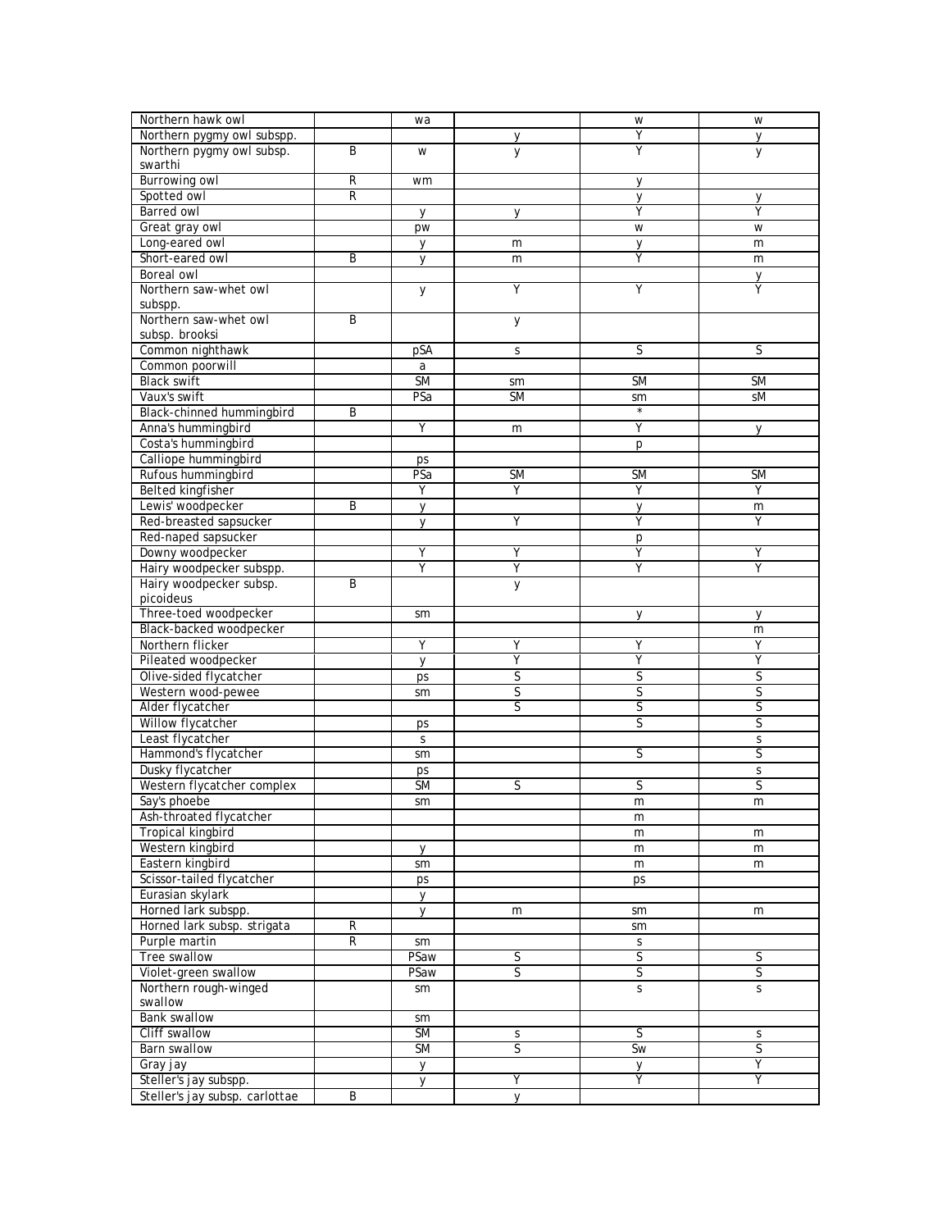| Northern hawk owl              |              | wa                     |                              | W                       | W                            |
|--------------------------------|--------------|------------------------|------------------------------|-------------------------|------------------------------|
| Northern pygmy owl subspp.     |              |                        | у                            | Υ                       | $\mathsf{V}$                 |
| Northern pygmy owl subsp.      | B            | W                      | y                            | Υ                       | y                            |
| swarthi                        |              |                        |                              |                         |                              |
| <b>Burrowing owl</b>           | R            | wm                     |                              | y                       |                              |
| Spotted owl                    | ${\sf R}$    |                        |                              | у                       | y                            |
| Barred owl                     |              | $\mathsf{V}$           | V                            | Y                       | Y                            |
| Great gray owl                 |              | pw                     |                              | W                       | W                            |
| Long-eared owl                 |              | y                      | m                            | y                       | m                            |
| Short-eared owl                | B            | y                      | m                            | Y                       | m                            |
| Boreal owl                     |              |                        |                              |                         | V                            |
| Northern saw-whet owl          |              | y                      | Υ                            | Υ                       | Υ                            |
| subspp.                        |              |                        |                              |                         |                              |
| Northern saw-whet owl          | Β            |                        | y                            |                         |                              |
| subsp. brooksi                 |              |                        |                              |                         |                              |
| Common nighthawk               |              | pSA                    | S                            | S                       | S                            |
| Common poorwill                |              | a                      |                              |                         |                              |
| <b>Black swift</b>             |              | $\overline{\text{SM}}$ | sm                           | <b>SM</b>               | <b>SM</b>                    |
| Vaux's swift                   |              | PSa                    | <b>SM</b>                    |                         | sM                           |
|                                |              |                        |                              | sm<br>$\star$           |                              |
| Black-chinned hummingbird      | B            |                        |                              | Υ                       |                              |
| Anna's hummingbird             |              | Y                      | m                            |                         | y                            |
| Costa's hummingbird            |              |                        |                              | p                       |                              |
| Calliope hummingbird           |              | ps                     |                              |                         |                              |
| Rufous hummingbird             |              | PSa                    | <b>SM</b>                    | <b>SM</b>               | <b>SM</b>                    |
| <b>Belted kingfisher</b>       |              | Υ                      | Υ                            | Υ                       | Υ                            |
| Lewis' woodpecker              | B            | y                      |                              | y                       | m                            |
| Red-breasted sapsucker         |              | y                      | Υ                            | Υ                       | Υ                            |
| Red-naped sapsucker            |              |                        |                              | p                       |                              |
| Downy woodpecker               |              | Y                      | Υ                            | Υ                       | Υ                            |
| Hairy woodpecker subspp.       |              | Y                      | Υ                            | Υ                       | Y                            |
| Hairy woodpecker subsp.        | B            |                        | y                            |                         |                              |
| picoideus                      |              |                        |                              |                         |                              |
| Three-toed woodpecker          |              | sm                     |                              | y                       | y                            |
| Black-backed woodpecker        |              |                        |                              |                         | m                            |
| Northern flicker               |              | Y                      | Υ                            | Υ                       | Υ                            |
| Pileated woodpecker            |              | y                      | Ÿ                            | Υ                       | Ÿ                            |
| Olive-sided flycatcher         |              | ps                     | S                            | S                       | S                            |
| Western wood-pewee             |              | sm                     | S                            | S                       | S                            |
| Alder flycatcher               |              |                        | S                            | $\overline{\mathsf{S}}$ | S                            |
| Willow flycatcher              |              | ps                     |                              | $\overline{\mathsf{S}}$ | S                            |
| Least flycatcher               |              | $\mathsf{S}$           |                              |                         | $\mathsf S$                  |
| Hammond's flycatcher           |              | sm                     |                              | S                       | S                            |
| Dusky flycatcher               |              | ps                     |                              |                         | S                            |
| Western flycatcher complex     |              | <b>SM</b>              | S                            | S                       | S                            |
| Say's phoebe                   |              | sm                     |                              | m                       | m                            |
| Ash-throated flycatcher        |              |                        |                              | m                       |                              |
| <b>Tropical kingbird</b>       |              |                        |                              | m                       | m                            |
| Western kingbird               |              | У                      |                              | m                       | m                            |
| Eastern kingbird               |              | sm                     |                              | m                       | m                            |
| Scissor-tailed flycatcher      |              | ps                     |                              | ps                      |                              |
| Eurasian skylark               |              | у                      |                              |                         |                              |
| Horned lark subspp.            |              | y                      | m                            | sm                      | m                            |
| Horned lark subsp. strigata    | $\mathsf{R}$ |                        |                              | sm                      |                              |
| Purple martin                  | R            | sm                     |                              | $\mathsf S$             |                              |
| Tree swallow                   |              | PSaw                   | S                            | S                       | S                            |
| Violet-green swallow           |              | PSaw                   | S                            | S                       | $\overline{S}$               |
| Northern rough-winged          |              |                        |                              | S                       | S                            |
| swallow                        |              | sm                     |                              |                         |                              |
| <b>Bank swallow</b>            |              |                        |                              |                         |                              |
| Cliff swallow                  |              | sm<br><b>SM</b>        |                              | S                       |                              |
| Barn swallow                   |              | <b>SM</b>              | S<br>$\overline{\mathsf{S}}$ | Sw                      | S<br>$\overline{\mathsf{S}}$ |
|                                |              |                        |                              |                         | Ÿ                            |
| Gray jay                       |              | y                      |                              | y                       |                              |
| Steller's jay subspp.          |              | y                      | Υ                            | Υ                       | Υ                            |
| Steller's jay subsp. carlottae | B            |                        | y                            |                         |                              |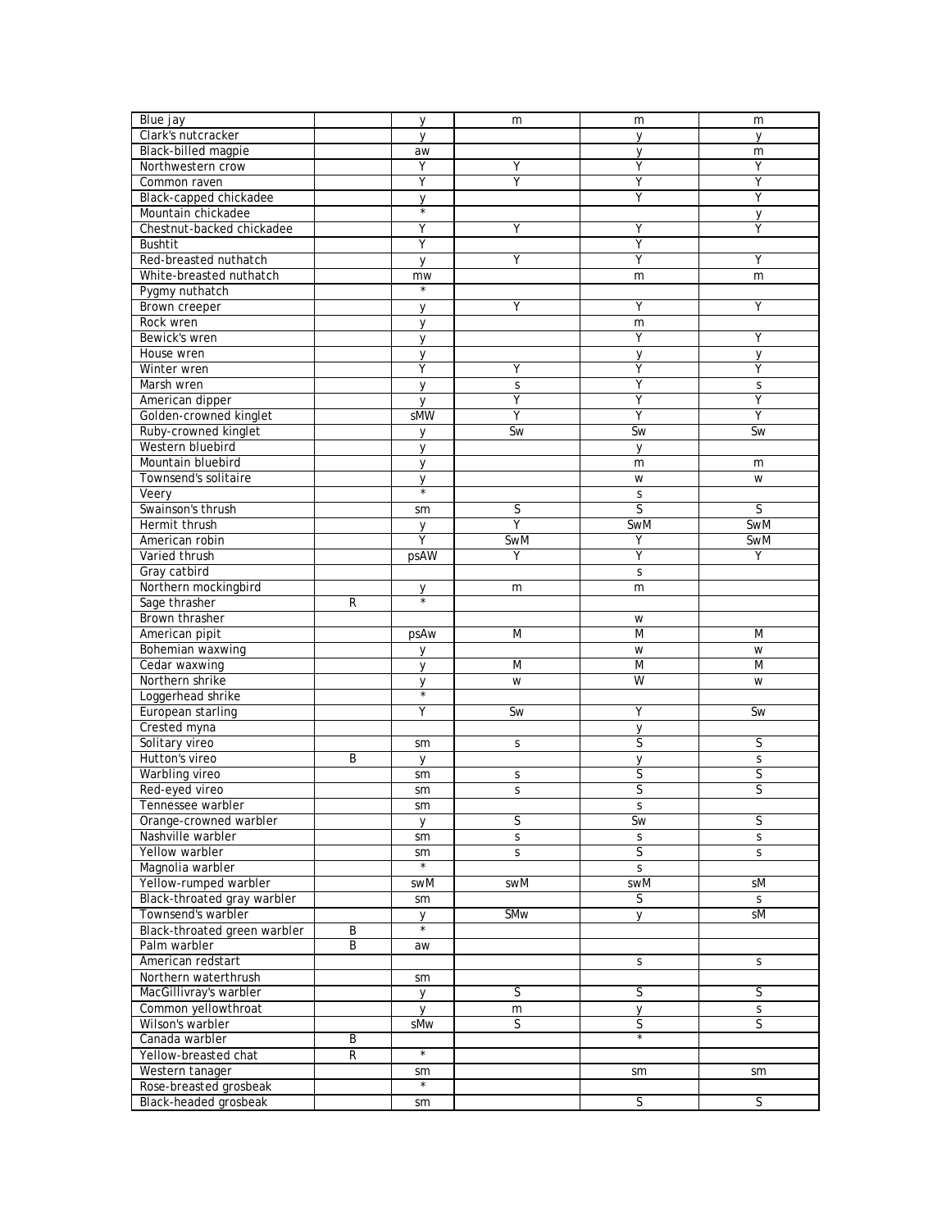| Blue jay                     |                | y              | m            | m                       | m                       |
|------------------------------|----------------|----------------|--------------|-------------------------|-------------------------|
| Clark's nutcracker           |                | $\vee$         |              | V                       | $\vee$                  |
| Black-billed magpie          |                | aw             |              | y                       | m                       |
| Northwestern crow            |                | Y              | Υ            | Υ                       | Y                       |
| Common raven                 |                | Υ              | Y            | Υ                       | Υ                       |
| Black-capped chickadee       |                | y              |              | Υ                       | Υ                       |
| Mountain chickadee           |                |                |              |                         | y                       |
| Chestnut-backed chickadee    |                | Y              | Υ            | Υ                       | Υ                       |
| <b>Bushtit</b>               |                | Y              |              | Υ                       |                         |
| Red-breasted nuthatch        |                | y              | Υ            | Υ                       | Υ                       |
| White-breasted nuthatch      |                | mw             |              | m                       | m                       |
| Pygmy nuthatch               |                | $\star$        |              |                         |                         |
| Brown creeper                |                | $\mathsf{V}$   | Υ            | Υ                       | Υ                       |
| Rock wren                    |                | y              |              | m                       |                         |
| Bewick's wren                |                | y              |              | Υ                       | Y                       |
| House wren                   |                | y              |              | y                       | y                       |
| Winter wren                  |                | Υ              | Υ            | Υ                       | Υ                       |
| Marsh wren                   |                | $\mathsf{V}$   | S            | Υ                       | S                       |
| American dipper              |                | y              | Υ            | Υ                       | Y                       |
| Golden-crowned kinglet       |                | sMW            | Ÿ            | Ÿ                       | Ÿ                       |
| Ruby-crowned kinglet         |                | y              | Sw           | Sw                      | Sw                      |
| Western bluebird             |                | y              |              | У                       |                         |
| Mountain bluebird            |                | y              |              | m                       | m                       |
| Townsend's solitaire         |                | у              |              | W                       | W                       |
| Veery                        |                |                |              | S                       |                         |
| Swainson's thrush            |                | sm             | S            | $\overline{\mathsf{S}}$ | S                       |
| Hermit thrush                |                | у              | Υ            | SwM                     | SwM                     |
| American robin               |                | Υ              | SwM          | Υ                       | SwM                     |
| Varied thrush                |                | psAW           | Υ            | Ÿ                       | Υ                       |
| Gray catbird                 |                |                |              | S                       |                         |
| Northern mockingbird         |                | у              | m            | m                       |                         |
| Sage thrasher                | R              |                |              |                         |                         |
| Brown thrasher               |                |                |              | W                       |                         |
| American pipit               |                | psAw           | M            | M                       | M                       |
| Bohemian waxwing             |                | y              |              | W                       | W                       |
| Cedar waxwing                |                | y              | M            | M                       | M                       |
| Northern shrike              |                | y              | W            | W                       | W                       |
| Loggerhead shrike            |                |                |              |                         |                         |
| European starling            |                | Υ              | Sw           | Υ                       | <b>Sw</b>               |
| Crested myna                 |                |                |              | у                       |                         |
| Solitary vireo               |                | sm             | S            | S                       | S                       |
| Hutton's vireo               | Β              | y              |              | y                       | S                       |
| Warbling vireo               |                | sm             | S            | S                       | S                       |
| Red-eyed vireo               |                | sm             | S            | $\overline{\mathsf{S}}$ | $\overline{\mathsf{S}}$ |
| Tennessee warbler            |                | sm             |              | $\mathsf S$             |                         |
| Orange-crowned warbler       |                | y              | S            | Sw                      | S                       |
| Nashville warbler            |                | sm             | S            | $\sf S$                 | S                       |
| Yellow warbler               |                | sm             | $\mathsf{S}$ | $\overline{\mathsf{S}}$ | S                       |
| Magnolia warbler             |                | $\star$        |              | S                       |                         |
| Yellow-rumped warbler        |                | swM            | swM          | swM                     | sM                      |
| Black-throated gray warbler  |                | sm             |              | S                       | S                       |
| Townsend's warbler           |                | y              | SMw          | y                       | sM                      |
| Black-throated green warbler | B              |                |              |                         |                         |
| Palm warbler                 | $\overline{B}$ | aw             |              |                         |                         |
| American redstart            |                |                |              | S                       | S                       |
| Northern waterthrush         |                | sm             |              |                         |                         |
| MacGillivray's warbler       |                | y              | S            | S                       | S                       |
| Common yellowthroat          |                | y              | m            | у                       | S                       |
| Wilson's warbler             |                | sMw            | S            | S<br>$^\star$           | S                       |
| Canada warbler               | B              |                |              |                         |                         |
| Yellow-breasted chat         | R              | $\star$        |              |                         |                         |
| Western tanager              |                | sm<br>$^\star$ |              | sm                      | sm                      |
| Rose-breasted grosbeak       |                |                |              |                         |                         |
| Black-headed grosbeak        |                | sm             |              | S                       | S                       |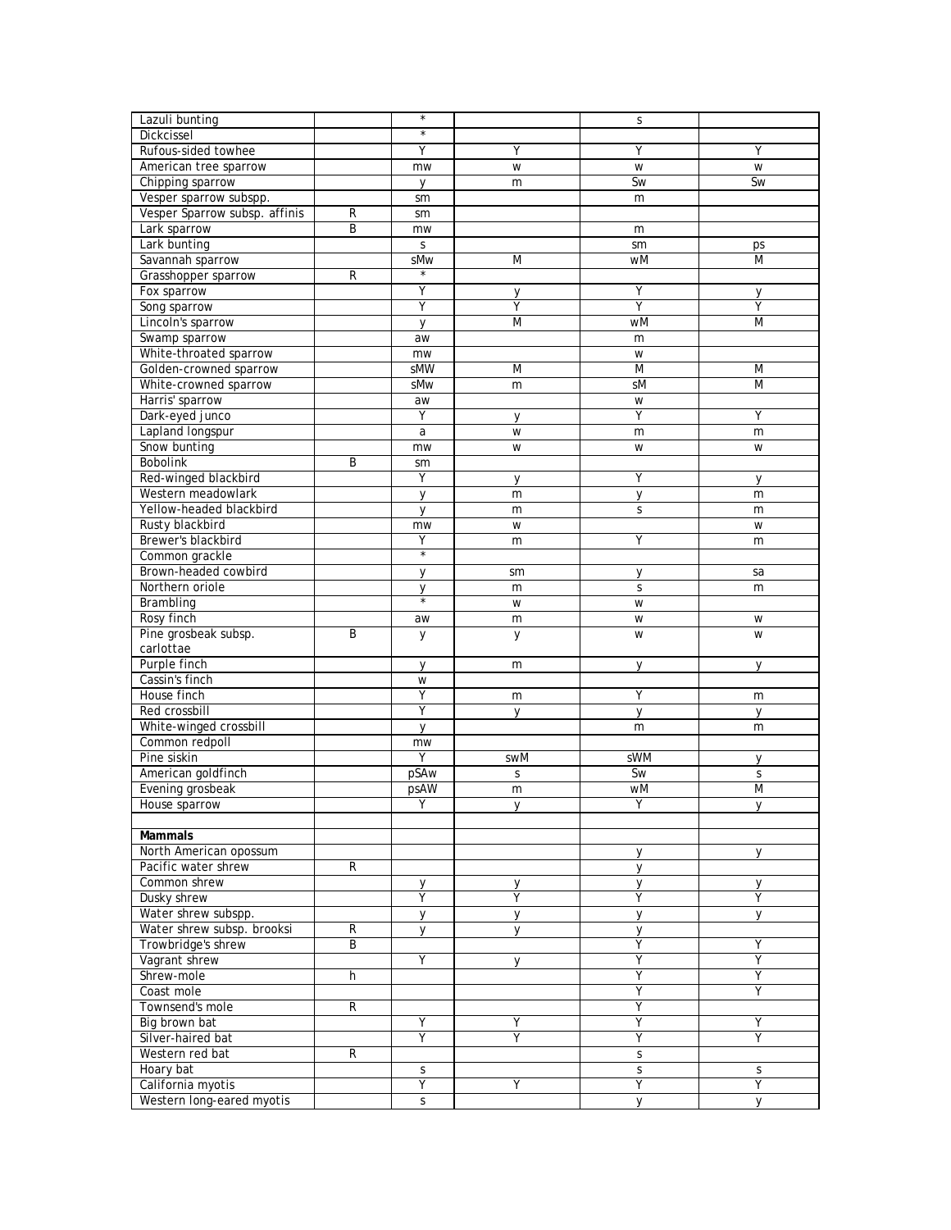| Lazuli bunting                |                | $\star$                |                | S   |                |
|-------------------------------|----------------|------------------------|----------------|-----|----------------|
| Dickcissel                    |                | $\star$                |                |     |                |
| Rufous-sided towhee           |                | Υ                      | Υ              | Υ   | Υ              |
| American tree sparrow         |                | mw                     | W              | W   | W              |
| Chipping sparrow              |                | y                      | m              | Sw  | <b>Sw</b>      |
| Vesper sparrow subspp.        |                | sm                     |                | m   |                |
| Vesper Sparrow subsp. affinis | $\overline{R}$ |                        |                |     |                |
|                               |                | sm                     |                |     |                |
| Lark sparrow                  | B              | mw                     |                | m   |                |
| Lark bunting                  |                | S                      |                | sm  | ps             |
| Savannah sparrow              |                | sMw                    | M              | wM  | M              |
| Grasshopper sparrow           | $\overline{R}$ | $^\star$               |                |     |                |
| Fox sparrow                   |                | Υ                      | V              | Υ   | V              |
| Song sparrow                  |                | Υ                      | Υ              | Υ   | Υ              |
| Lincoln's sparrow             |                | $\mathsf{V}$           | $\overline{M}$ | wM  | $\overline{M}$ |
| Swamp sparrow                 |                | aw                     |                | m   |                |
| White-throated sparrow        |                | mw                     |                | W   |                |
| Golden-crowned sparrow        |                | sMW                    | M              | M   | M              |
| White-crowned sparrow         |                | sMw                    | m              | sM  | M              |
|                               |                |                        |                |     |                |
| Harris' sparrow               |                | aw                     |                | W   |                |
| Dark-eyed junco               |                | $\overline{Y}$         | $\vee$         | Ÿ   | Υ              |
| Lapland longspur              |                | a                      | W              | m   | m              |
| Snow bunting                  |                | mw                     | W              | W   | W              |
| <b>Bobolink</b>               | B              | sm                     |                |     |                |
| Red-winged blackbird          |                | Υ                      | y              | Y   | y              |
| Western meadowlark            |                | y                      | m              | y   | m              |
| Yellow-headed blackbird       |                | $\mathsf{V}$           | m              | S   | m              |
| Rusty blackbird               |                | mw                     | W              |     | W              |
| Brewer's blackbird            |                | Υ                      | m              | Υ   | m              |
| Common grackle                |                | $^\star$               |                |     |                |
| Brown-headed cowbird          |                |                        | sm             |     | sa             |
| Northern oriole               |                | y                      |                | y   |                |
|                               |                | у<br>$\overline{\ast}$ | m              | S   | m              |
| Brambling                     |                |                        | W              | W   |                |
| Rosy finch                    |                | aw                     | m              | W   | W              |
| Pine grosbeak subsp.          | B              | У                      | у              | W   | W              |
| carlottae                     |                |                        |                |     |                |
| Purple finch                  |                | y                      | m              | y   | y              |
| Cassin's finch                |                | W                      |                |     |                |
| House finch                   |                | Υ                      | m              | Υ   | m              |
| Red crossbill                 |                | Υ                      | y              | y   | y              |
| White-winged crossbill        |                | y                      |                | m   | m              |
| Common redpoll                |                | mw                     |                |     |                |
| Pine siskin                   |                | Ÿ                      | swM            | sWM | y              |
| American goldfinch            |                | pSAw                   | S              | Sw  | $\mathsf S$    |
| Evening grosbeak              |                | psAW                   | m              | wM  | M              |
| House sparrow                 |                | Υ                      | $\vee$         | Υ   | $\mathsf{V}$   |
|                               |                |                        |                |     |                |
|                               |                |                        |                |     |                |
| <b>Mammals</b>                |                |                        |                |     |                |
| North American opossum        |                |                        |                | y   | y              |
| Pacific water shrew           | R              |                        |                | У   |                |
| Common shrew                  |                | у                      | у              | y   | y              |
| Dusky shrew                   |                | Ÿ                      | Ÿ              | Υ   | Υ              |
| Water shrew subspp.           |                | У                      | y              | y   | y              |
| Water shrew subsp. brooksi    | R              | y                      | y              | У   |                |
| Trowbridge's shrew            | B              |                        |                | Υ   | Υ              |
| Vagrant shrew                 |                | Y                      | y              | Υ   | Y              |
| Shrew-mole                    | h              |                        |                | Ÿ   | Ÿ              |
| Coast mole                    |                |                        |                | Υ   | Υ              |
| Townsend's mole               | R              |                        |                | Υ   |                |
| Big brown bat                 |                | Υ                      | Υ              | Υ   | Y              |
| Silver-haired bat             |                | Ÿ                      | Ÿ              | Y   | Ÿ              |
| Western red bat               | R              |                        |                |     |                |
|                               |                |                        |                | S   |                |
| Hoary bat                     |                | S                      |                | S   | S              |
| California myotis             |                | Ÿ                      | Υ              | Ÿ   | Ÿ              |
| Western long-eared myotis     |                | S                      |                | y   | V              |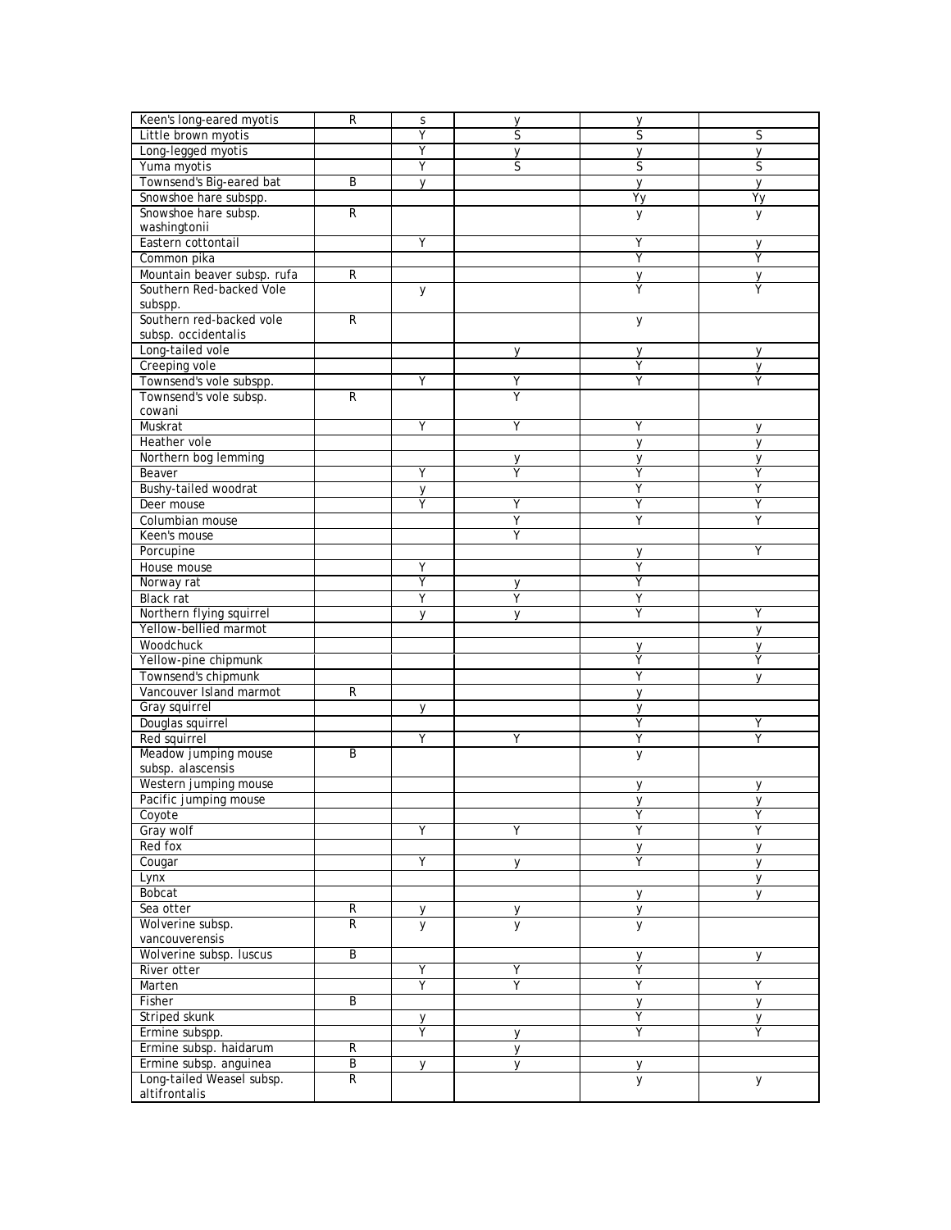| Keen's long-eared myotis    | $\overline{R}$ | $\mathsf S$ | y              | y              |              |
|-----------------------------|----------------|-------------|----------------|----------------|--------------|
| Little brown myotis         |                | Y           | S              | S              | S            |
| Long-legged myotis          |                | Y           | y              | y              | $\mathsf{V}$ |
| Yuma myotis                 |                | Ÿ           | S              | S              | S            |
| Townsend's Big-eared bat    | B              | У           |                | y              | y            |
| Snowshoe hare subspp.       |                |             |                | Yy             | Yy           |
| Snowshoe hare subsp.        | $\overline{R}$ |             |                | у              | у            |
| washingtonii                |                |             |                |                |              |
| Eastern cottontail          |                | Υ           |                | Υ              | у            |
| Common pika                 |                |             |                | Y              | Υ            |
| Mountain beaver subsp. rufa | ${\sf R}$      |             |                | $\mathsf{V}$   | V            |
| Southern Red-backed Vole    |                | y           |                | Υ              | Y            |
| subspp.                     |                |             |                |                |              |
| Southern red-backed vole    | $\overline{R}$ |             |                | y              |              |
| subsp. occidentalis         |                |             |                |                |              |
| Long-tailed vole            |                |             | V              | y              | y            |
| Creeping vole               |                |             |                | Υ              | y            |
| Townsend's vole subspp.     |                | Υ           | Υ              | Υ              | Υ            |
| Townsend's vole subsp.      | ${\sf R}$      |             | Υ              |                |              |
| cowani                      |                |             |                |                |              |
| Muskrat                     |                | Y           | Υ              | Υ              | y            |
| Heather vole                |                |             |                | $\mathsf{y}$   | $\mathsf{y}$ |
| Northern bog lemming        |                |             | у              | y              | y            |
| Beaver                      |                | Y           | Υ              | Y              | Υ            |
| Bushy-tailed woodrat        |                | y           |                | Υ              | Υ            |
| Deer mouse                  |                | Υ           | Υ              | Υ              | Υ            |
| Columbian mouse             |                |             | Υ              | Y              | Υ            |
| Keen's mouse                |                |             | Υ              |                |              |
| Porcupine                   |                |             |                | y              | Υ            |
| House mouse                 |                | Y           |                | Υ              |              |
| Norway rat                  |                | Υ           | у              | Υ              |              |
| Black rat                   |                | Y           | Υ              | Υ              |              |
| Northern flying squirrel    |                | V           |                | Υ              | Y            |
| Yellow-bellied marmot       |                |             |                |                | y            |
| Woodchuck                   |                |             |                | y              | y            |
| Yellow-pine chipmunk        |                |             |                | Υ              | Υ            |
| Townsend's chipmunk         |                |             |                | Υ              | $\vee$       |
| Vancouver Island marmot     | ${\sf R}$      |             |                | y              |              |
| Gray squirrel               |                | y           |                | у              |              |
| Douglas squirrel            |                |             |                | Ÿ              | Υ            |
| Red squirrel                |                | Y           | Υ              | Υ              | Y            |
| Meadow jumping mouse        | B              |             |                | y              |              |
| subsp. alascensis           |                |             |                |                |              |
| Western jumping mouse       |                |             |                | У              | y            |
| Pacific jumping mouse       |                |             |                | y              | y            |
| Coyote                      |                |             |                | Υ              | Υ            |
| Gray wolf                   |                | Y           | Υ              | Υ              | Υ            |
| Red fox                     |                |             |                | y              | y            |
| Cougar                      |                | Y           | y              | Υ              | y            |
| Lynx                        |                |             |                |                | y            |
| <b>Bobcat</b>               |                |             |                | y              | V            |
| Sea otter                   | ${\sf R}$      | у           | у              | y              |              |
| Wolverine subsp.            | $\overline{R}$ | y           | $\overline{y}$ | $\overline{y}$ |              |
| vancouverensis              |                |             |                |                |              |
| Wolverine subsp. luscus     | B              |             |                | у              | y            |
| River otter                 |                | Υ           | Υ              | Υ              |              |
| Marten                      |                | Y           | Υ              | Y              | Y            |
| Fisher                      | $\overline{B}$ |             |                | y              | $\mathsf{V}$ |
| Striped skunk               |                | у           |                | Υ              | y            |
| Ermine subspp.              |                | Y           | y              | Υ              | Υ            |
| Ermine subsp. haidarum      | $\mathsf{R}$   |             | y              |                |              |
| Ermine subsp. anguinea      | B              | y           | y              | y              |              |
| Long-tailed Weasel subsp.   | $\overline{R}$ |             |                | y              | y            |
| altifrontalis               |                |             |                |                |              |